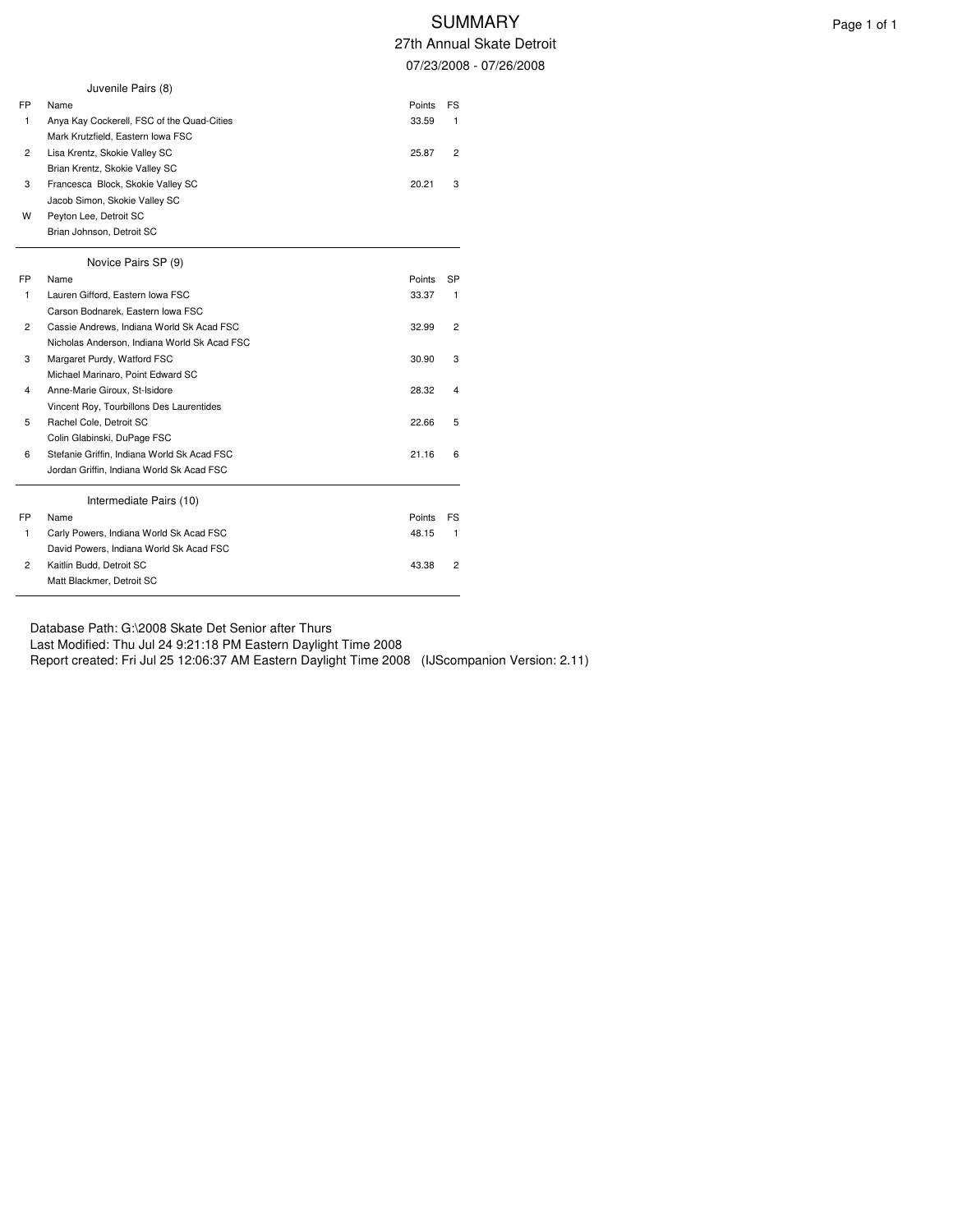# SUMMARY Page 1 of 1

27th Annual Skate Detroit 07/23/2008 - 07/26/2008

|    | Juvenile Pairs (8)                           |        |                |
|----|----------------------------------------------|--------|----------------|
| FP | Name                                         | Points | FS             |
| 1  | Anya Kay Cockerell, FSC of the Quad-Cities   | 33.59  | $\mathbf{1}$   |
|    | Mark Krutzfield, Eastern Iowa FSC            |        |                |
| 2  | Lisa Krentz, Skokie Valley SC                | 25.87  | $\overline{c}$ |
|    | Brian Krentz, Skokie Valley SC               |        |                |
| 3  | Francesca Block, Skokie Valley SC            | 20.21  | 3              |
|    | Jacob Simon, Skokie Valley SC                |        |                |
| w  | Peyton Lee, Detroit SC                       |        |                |
|    | Brian Johnson, Detroit SC                    |        |                |
|    | Novice Pairs SP (9)                          |        |                |
| FP | Name                                         | Points | SP             |
| 1  | Lauren Gifford, Eastern Iowa FSC             | 33.37  | $\mathbf{1}$   |
|    | Carson Bodnarek, Eastern Iowa FSC            |        |                |
| 2  | Cassie Andrews, Indiana World Sk Acad FSC    | 32.99  | 2              |
|    | Nicholas Anderson, Indiana World Sk Acad FSC |        |                |
| 3  | Margaret Purdy, Watford FSC                  | 30.90  | 3              |
|    | Michael Marinaro, Point Edward SC            |        |                |
| 4  | Anne-Marie Giroux, St-Isidore                | 28.32  | 4              |
|    | Vincent Roy, Tourbillons Des Laurentides     |        |                |
| 5  | Rachel Cole, Detroit SC                      | 22.66  | 5              |
|    | Colin Glabinski, DuPage FSC                  |        |                |
| 6  | Stefanie Griffin, Indiana World Sk Acad FSC  | 21.16  | 6              |
|    | Jordan Griffin, Indiana World Sk Acad FSC    |        |                |
|    | Intermediate Pairs (10)                      |        |                |
| FP | Name                                         | Points | FS             |
| 1  | Carly Powers, Indiana World Sk Acad FSC      | 48.15  | 1              |
|    | David Powers, Indiana World Sk Acad FSC      |        |                |
| 2  | Kaitlin Budd, Detroit SC                     | 43.38  | 2              |
|    | Matt Blackmer, Detroit SC                    |        |                |

Database Path: G:\2008 Skate Det Senior after Thurs

Last Modified: Thu Jul 24 9:21:18 PM Eastern Daylight Time 2008

Report created: Fri Jul 25 12:06:37 AM Eastern Daylight Time 2008 (IJScompanion Version: 2.11)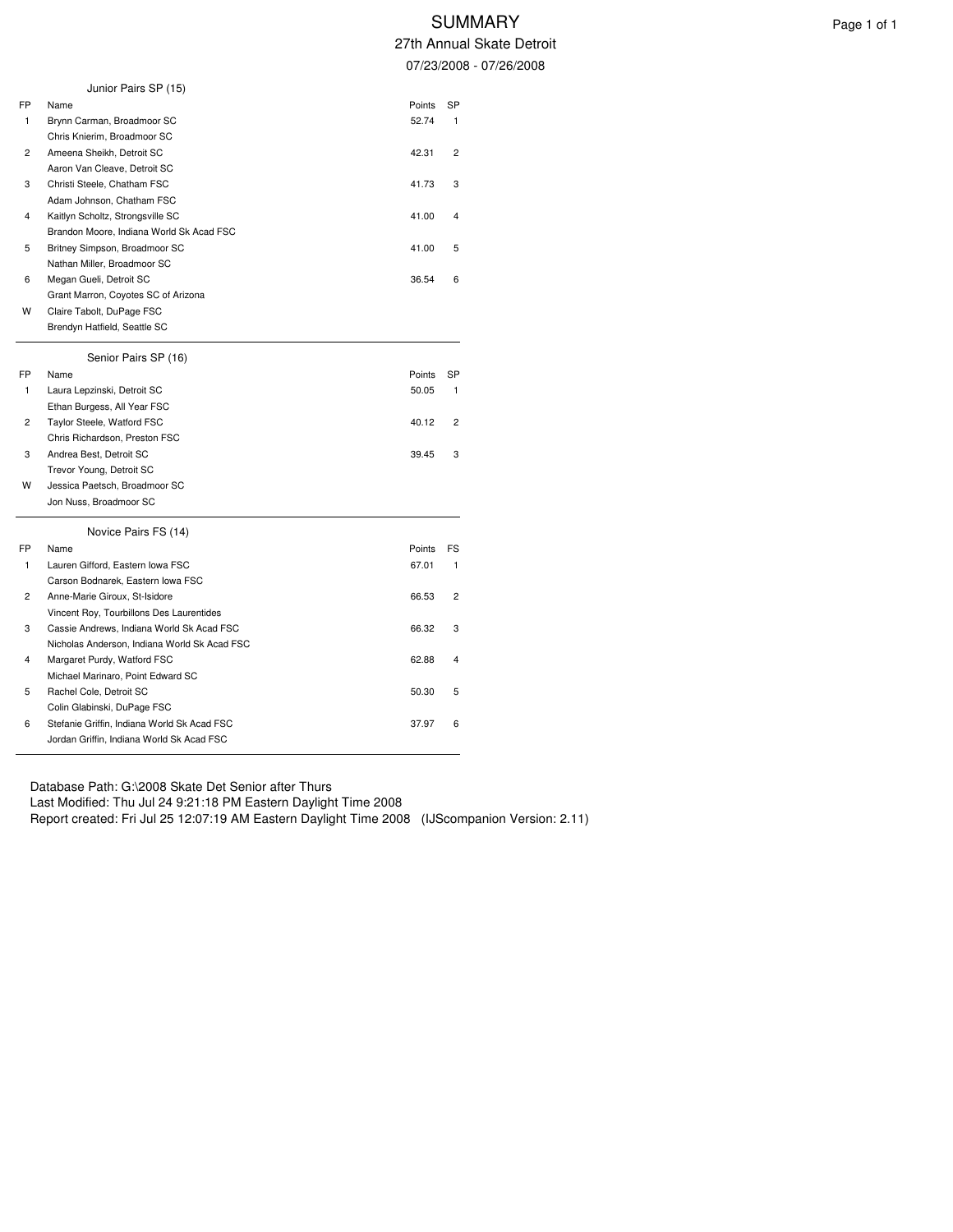|    | Junior Pairs SP (15)                         |        |    |
|----|----------------------------------------------|--------|----|
| FP | Name                                         | Points | SP |
| 1  | Brynn Carman, Broadmoor SC                   | 52.74  | 1  |
|    | Chris Knierim, Broadmoor SC                  |        |    |
| 2  | Ameena Sheikh, Detroit SC                    | 42.31  | 2  |
|    | Aaron Van Cleave, Detroit SC                 |        |    |
| 3  | Christi Steele, Chatham FSC                  | 41.73  | 3  |
|    | Adam Johnson, Chatham FSC                    |        |    |
| 4  | Kaitlyn Scholtz, Strongsville SC             | 41.00  | 4  |
|    | Brandon Moore, Indiana World Sk Acad FSC     |        |    |
| 5  | Britney Simpson, Broadmoor SC                | 41.00  | 5  |
|    | Nathan Miller, Broadmoor SC                  |        |    |
| 6  | Megan Gueli, Detroit SC                      | 36.54  | 6  |
|    | Grant Marron, Coyotes SC of Arizona          |        |    |
| W  | Claire Tabolt, DuPage FSC                    |        |    |
|    | Brendyn Hatfield, Seattle SC                 |        |    |
|    | Senior Pairs SP (16)                         |        |    |
| FP | Name                                         | Points | SP |
| 1  | Laura Lepzinski, Detroit SC                  | 50.05  | 1  |
|    | Ethan Burgess, All Year FSC                  |        |    |
| 2  | Taylor Steele, Watford FSC                   | 40.12  | 2  |
|    | Chris Richardson, Preston FSC                |        |    |
| 3  | Andrea Best, Detroit SC                      | 39.45  | 3  |
|    | Trevor Young, Detroit SC                     |        |    |
| W  | Jessica Paetsch, Broadmoor SC                |        |    |
|    | Jon Nuss, Broadmoor SC                       |        |    |
|    | Novice Pairs FS (14)                         |        |    |
| FP | Name                                         | Points | FS |
| 1  | Lauren Gifford, Eastern Iowa FSC             | 67.01  | 1  |
|    | Carson Bodnarek, Eastern Iowa FSC            |        |    |
| 2  | Anne-Marie Giroux, St-Isidore                | 66.53  | 2  |
|    | Vincent Roy, Tourbillons Des Laurentides     |        |    |
| 3  | Cassie Andrews, Indiana World Sk Acad FSC    | 66.32  | 3  |
|    | Nicholas Anderson, Indiana World Sk Acad FSC |        |    |
| 4  | Margaret Purdy, Watford FSC                  | 62.88  | 4  |
|    | Michael Marinaro, Point Edward SC            |        |    |
| 5  | Rachel Cole, Detroit SC                      | 50.30  | 5  |
|    | Colin Glabinski, DuPage FSC                  |        |    |
| 6  | Stefanie Griffin, Indiana World Sk Acad FSC  | 37.97  | 6  |
|    | Jordan Griffin, Indiana World Sk Acad FSC    |        |    |

Database Path: G:\2008 Skate Det Senior after Thurs Last Modified: Thu Jul 24 9:21:18 PM Eastern Daylight Time 2008 Report created: Fri Jul 25 12:07:19 AM Eastern Daylight Time 2008 (IJScompanion Version: 2.11)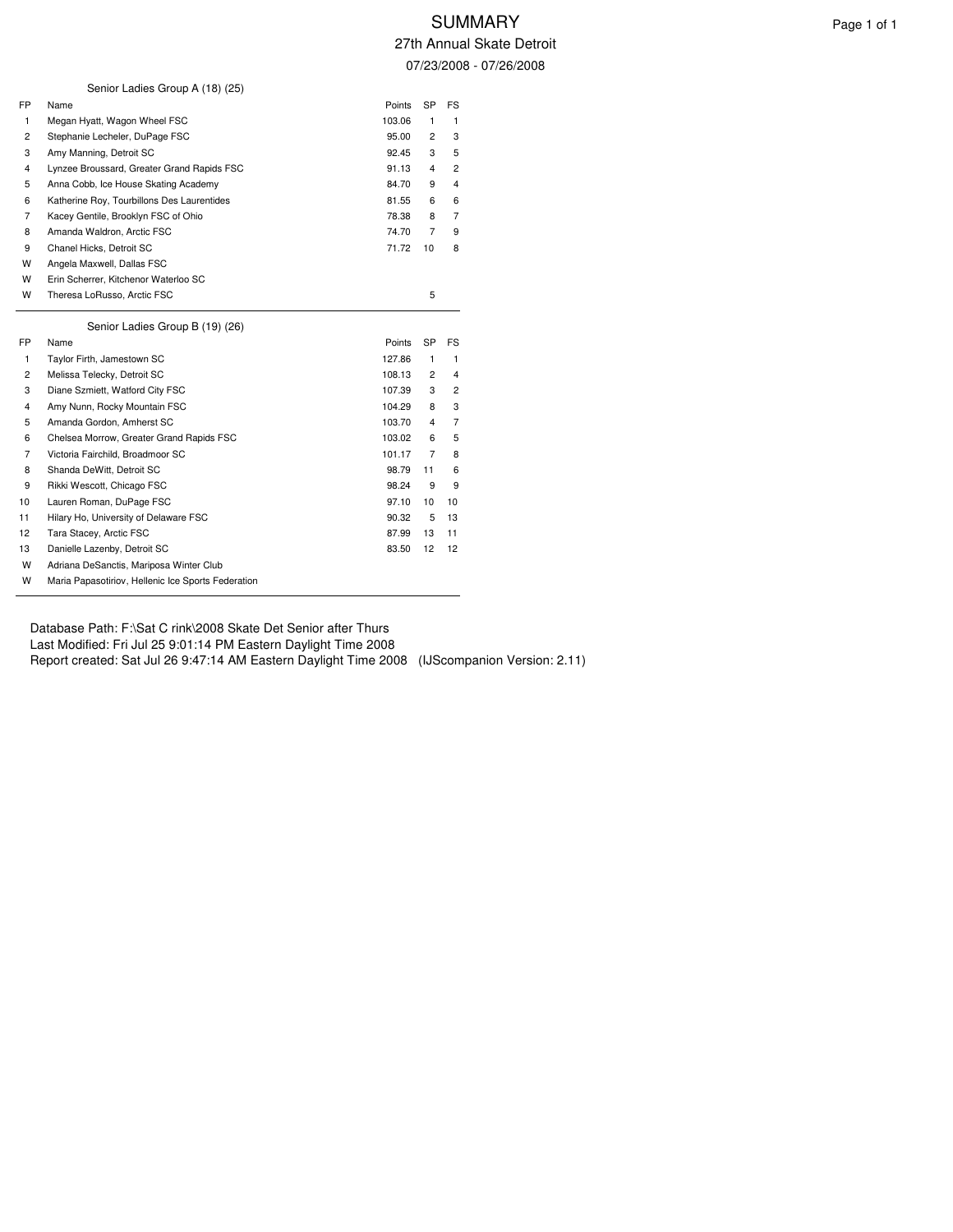|                | Senior Ladies Group A (18) (25)            |        |                |                |
|----------------|--------------------------------------------|--------|----------------|----------------|
| FP             | Name                                       | Points | <b>SP</b>      | <b>FS</b>      |
| 1              | Megan Hyatt, Wagon Wheel FSC               | 103.06 | 1              | 1              |
| $\overline{c}$ | Stephanie Lecheler, DuPage FSC             | 95.00  | 2              | 3              |
| 3              | Amy Manning, Detroit SC                    | 92.45  | 3              | 5              |
| 4              | Lynzee Broussard, Greater Grand Rapids FSC | 91.13  | 4              | $\overline{c}$ |
| 5              | Anna Cobb, Ice House Skating Academy       | 84.70  | 9              | $\overline{4}$ |
| 6              | Katherine Roy, Tourbillons Des Laurentides | 81.55  | 6              | 6              |
| $\overline{7}$ | Kacey Gentile, Brooklyn FSC of Ohio        | 78.38  | 8              | $\overline{7}$ |
| 8              | Amanda Waldron, Arctic FSC                 | 74.70  | $\overline{7}$ | 9              |
| 9              | Chanel Hicks, Detroit SC                   | 71.72  | 10             | 8              |
| W              | Angela Maxwell, Dallas FSC                 |        |                |                |
| W              | Erin Scherrer, Kitchenor Waterloo SC       |        |                |                |
| W              | Theresa LoRusso, Arctic FSC                |        | 5              |                |
|                | Senior Ladies Group B (19) (26)            |        |                |                |
|                |                                            |        |                |                |
| FP.            | Name                                       | Points | <b>SP</b>      | FS             |
| 1              | Taylor Firth, Jamestown SC                 | 127.86 | 1              | 1              |
| 2              | Melissa Telecky, Detroit SC                | 108.13 | $\overline{c}$ | 4              |
| 3              | Diane Szmiett, Watford City FSC            | 107.39 | 3              | $\overline{c}$ |
| 4              | Amy Nunn, Rocky Mountain FSC               | 104.29 | 8              | 3              |
| 5              | Amanda Gordon, Amherst SC                  | 103.70 | 4              | $\overline{7}$ |
| 6              | Chelsea Morrow, Greater Grand Rapids FSC   | 103.02 | 6              | 5              |
| 7              | Victoria Fairchild, Broadmoor SC           | 101.17 | 7              | 8              |
| 8              | Shanda DeWitt, Detroit SC                  | 98.79  | 11             | 6              |
| 9              | Rikki Wescott, Chicago FSC                 | 98.24  | 9              | 9              |
| 10             | Lauren Roman, DuPage FSC                   | 97.10  | 10             | 10             |
| 11             | Hilary Ho, University of Delaware FSC      | 90.32  | 5              | 13             |
| 12             | Tara Stacey, Arctic FSC                    | 87.99  | 13             | 11             |
| 13             | Danielle Lazenby, Detroit SC               | 83.50  | 12             | 12             |
| W              | Adriana DeSanctis, Mariposa Winter Club    |        |                |                |

Database Path: F:\Sat C rink\2008 Skate Det Senior after Thurs

Last Modified: Fri Jul 25 9:01:14 PM Eastern Daylight Time 2008

Report created: Sat Jul 26 9:47:14 AM Eastern Daylight Time 2008 (IJScompanion Version: 2.11)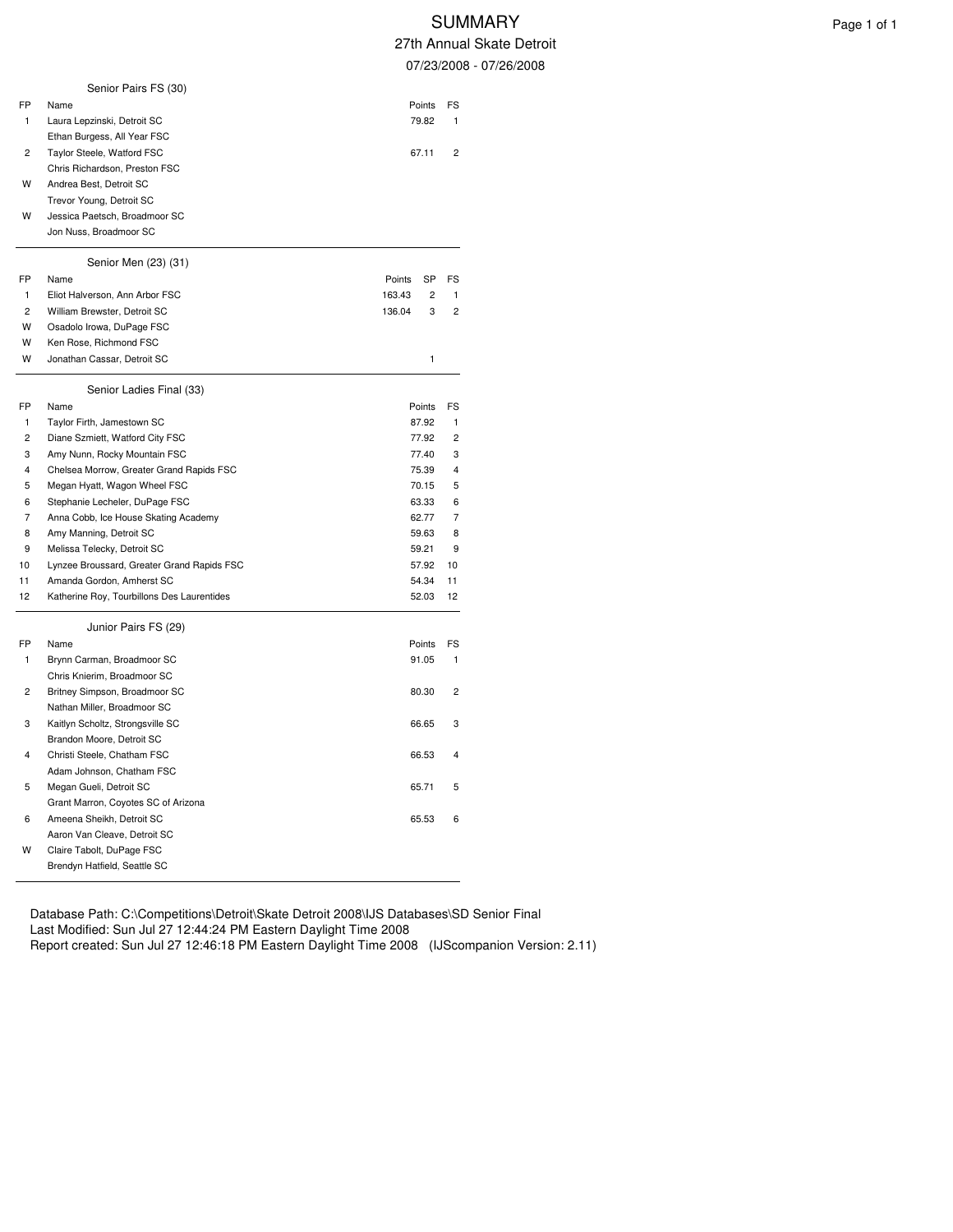| 07/23/2008<br>Senior Pairs FS (30)<br>FP<br>Name<br>Points<br>FS<br>1<br>Laura Lepzinski, Detroit SC<br>79.82<br>1<br>Ethan Burgess, All Year FSC<br>$\overline{c}$<br>Taylor Steele, Watford FSC<br>67.11<br>2<br>Chris Richardson, Preston FSC<br>W<br>Andrea Best, Detroit SC<br>Trevor Young, Detroit SC<br>W<br>Jessica Paetsch, Broadmoor SC<br>Jon Nuss, Broadmoor SC<br>Senior Men (23) (31)<br>FP<br>Name<br>Points<br>SP<br>FS<br>1<br>Eliot Halverson, Ann Arbor FSC<br>$\overline{c}$<br>1<br>163.43<br>$\overline{c}$<br>William Brewster, Detroit SC<br>136.04<br>3<br>2<br>W<br>Osadolo Irowa, DuPage FSC<br>W<br>Ken Rose, Richmond FSC<br>W<br>1<br>Jonathan Cassar, Detroit SC<br>Senior Ladies Final (33)<br>FP<br>Name<br>FS<br>Points<br>1<br>Taylor Firth, Jamestown SC<br>87.92<br>1<br>$\overline{c}$<br>$\overline{c}$<br>Diane Szmiett, Watford City FSC<br>77.92<br>3<br>Amy Nunn, Rocky Mountain FSC<br>77.40<br>3<br>4<br>Chelsea Morrow, Greater Grand Rapids FSC<br>4<br>75.39<br>Megan Hyatt, Wagon Wheel FSC<br>70.15<br>5<br>5<br>Stephanie Lecheler, DuPage FSC<br>6<br>63.33<br>6<br>7<br>62.77<br>Anna Cobb, Ice House Skating Academy<br>7<br>8<br>Amy Manning, Detroit SC<br>59.63<br>8<br>9<br>Melissa Telecky, Detroit SC<br>9<br>59.21<br>Lynzee Broussard, Greater Grand Rapids FSC<br>10<br>57.92<br>10<br>11<br>Amanda Gordon, Amherst SC<br>54.34<br>11<br>12<br>Katherine Roy, Tourbillons Des Laurentides<br>52.03<br>12<br>Junior Pairs FS (29)<br>FP<br>Name<br>Points<br>FS<br>1<br>Brynn Carman, Broadmoor SC<br>1<br>91.05<br>Chris Knierim, Broadmoor SC<br>2<br>Britney Simpson, Broadmoor SC<br>2<br>80.30<br>Nathan Miller, Broadmoor SC<br>Kaitlyn Scholtz, Strongsville SC<br>3<br>3<br>66.65<br>Brandon Moore, Detroit SC<br>4<br>Christi Steele, Chatham FSC<br>66.53<br>4<br>Adam Johnson, Chatham FSC<br>5<br>Megan Gueli, Detroit SC<br>65.71<br>5<br>Grant Marron, Coyotes SC of Arizona<br>6<br>Ameena Sheikh, Detroit SC<br>6<br>65.53<br>Aaron Van Cleave, Detroit SC<br>W<br>Claire Tabolt, DuPage FSC<br>Brendyn Hatfield, Seattle SC |  | 47 (11 Annuai |  |
|-------------------------------------------------------------------------------------------------------------------------------------------------------------------------------------------------------------------------------------------------------------------------------------------------------------------------------------------------------------------------------------------------------------------------------------------------------------------------------------------------------------------------------------------------------------------------------------------------------------------------------------------------------------------------------------------------------------------------------------------------------------------------------------------------------------------------------------------------------------------------------------------------------------------------------------------------------------------------------------------------------------------------------------------------------------------------------------------------------------------------------------------------------------------------------------------------------------------------------------------------------------------------------------------------------------------------------------------------------------------------------------------------------------------------------------------------------------------------------------------------------------------------------------------------------------------------------------------------------------------------------------------------------------------------------------------------------------------------------------------------------------------------------------------------------------------------------------------------------------------------------------------------------------------------------------------------------------------------------------------------------------------------------------------------------------------------------------------------------------|--|---------------|--|
|                                                                                                                                                                                                                                                                                                                                                                                                                                                                                                                                                                                                                                                                                                                                                                                                                                                                                                                                                                                                                                                                                                                                                                                                                                                                                                                                                                                                                                                                                                                                                                                                                                                                                                                                                                                                                                                                                                                                                                                                                                                                                                             |  |               |  |
|                                                                                                                                                                                                                                                                                                                                                                                                                                                                                                                                                                                                                                                                                                                                                                                                                                                                                                                                                                                                                                                                                                                                                                                                                                                                                                                                                                                                                                                                                                                                                                                                                                                                                                                                                                                                                                                                                                                                                                                                                                                                                                             |  |               |  |
|                                                                                                                                                                                                                                                                                                                                                                                                                                                                                                                                                                                                                                                                                                                                                                                                                                                                                                                                                                                                                                                                                                                                                                                                                                                                                                                                                                                                                                                                                                                                                                                                                                                                                                                                                                                                                                                                                                                                                                                                                                                                                                             |  |               |  |
|                                                                                                                                                                                                                                                                                                                                                                                                                                                                                                                                                                                                                                                                                                                                                                                                                                                                                                                                                                                                                                                                                                                                                                                                                                                                                                                                                                                                                                                                                                                                                                                                                                                                                                                                                                                                                                                                                                                                                                                                                                                                                                             |  |               |  |
|                                                                                                                                                                                                                                                                                                                                                                                                                                                                                                                                                                                                                                                                                                                                                                                                                                                                                                                                                                                                                                                                                                                                                                                                                                                                                                                                                                                                                                                                                                                                                                                                                                                                                                                                                                                                                                                                                                                                                                                                                                                                                                             |  |               |  |
|                                                                                                                                                                                                                                                                                                                                                                                                                                                                                                                                                                                                                                                                                                                                                                                                                                                                                                                                                                                                                                                                                                                                                                                                                                                                                                                                                                                                                                                                                                                                                                                                                                                                                                                                                                                                                                                                                                                                                                                                                                                                                                             |  |               |  |
|                                                                                                                                                                                                                                                                                                                                                                                                                                                                                                                                                                                                                                                                                                                                                                                                                                                                                                                                                                                                                                                                                                                                                                                                                                                                                                                                                                                                                                                                                                                                                                                                                                                                                                                                                                                                                                                                                                                                                                                                                                                                                                             |  |               |  |
|                                                                                                                                                                                                                                                                                                                                                                                                                                                                                                                                                                                                                                                                                                                                                                                                                                                                                                                                                                                                                                                                                                                                                                                                                                                                                                                                                                                                                                                                                                                                                                                                                                                                                                                                                                                                                                                                                                                                                                                                                                                                                                             |  |               |  |
|                                                                                                                                                                                                                                                                                                                                                                                                                                                                                                                                                                                                                                                                                                                                                                                                                                                                                                                                                                                                                                                                                                                                                                                                                                                                                                                                                                                                                                                                                                                                                                                                                                                                                                                                                                                                                                                                                                                                                                                                                                                                                                             |  |               |  |
|                                                                                                                                                                                                                                                                                                                                                                                                                                                                                                                                                                                                                                                                                                                                                                                                                                                                                                                                                                                                                                                                                                                                                                                                                                                                                                                                                                                                                                                                                                                                                                                                                                                                                                                                                                                                                                                                                                                                                                                                                                                                                                             |  |               |  |
|                                                                                                                                                                                                                                                                                                                                                                                                                                                                                                                                                                                                                                                                                                                                                                                                                                                                                                                                                                                                                                                                                                                                                                                                                                                                                                                                                                                                                                                                                                                                                                                                                                                                                                                                                                                                                                                                                                                                                                                                                                                                                                             |  |               |  |
|                                                                                                                                                                                                                                                                                                                                                                                                                                                                                                                                                                                                                                                                                                                                                                                                                                                                                                                                                                                                                                                                                                                                                                                                                                                                                                                                                                                                                                                                                                                                                                                                                                                                                                                                                                                                                                                                                                                                                                                                                                                                                                             |  |               |  |
|                                                                                                                                                                                                                                                                                                                                                                                                                                                                                                                                                                                                                                                                                                                                                                                                                                                                                                                                                                                                                                                                                                                                                                                                                                                                                                                                                                                                                                                                                                                                                                                                                                                                                                                                                                                                                                                                                                                                                                                                                                                                                                             |  |               |  |
|                                                                                                                                                                                                                                                                                                                                                                                                                                                                                                                                                                                                                                                                                                                                                                                                                                                                                                                                                                                                                                                                                                                                                                                                                                                                                                                                                                                                                                                                                                                                                                                                                                                                                                                                                                                                                                                                                                                                                                                                                                                                                                             |  |               |  |
|                                                                                                                                                                                                                                                                                                                                                                                                                                                                                                                                                                                                                                                                                                                                                                                                                                                                                                                                                                                                                                                                                                                                                                                                                                                                                                                                                                                                                                                                                                                                                                                                                                                                                                                                                                                                                                                                                                                                                                                                                                                                                                             |  |               |  |
|                                                                                                                                                                                                                                                                                                                                                                                                                                                                                                                                                                                                                                                                                                                                                                                                                                                                                                                                                                                                                                                                                                                                                                                                                                                                                                                                                                                                                                                                                                                                                                                                                                                                                                                                                                                                                                                                                                                                                                                                                                                                                                             |  |               |  |
|                                                                                                                                                                                                                                                                                                                                                                                                                                                                                                                                                                                                                                                                                                                                                                                                                                                                                                                                                                                                                                                                                                                                                                                                                                                                                                                                                                                                                                                                                                                                                                                                                                                                                                                                                                                                                                                                                                                                                                                                                                                                                                             |  |               |  |
|                                                                                                                                                                                                                                                                                                                                                                                                                                                                                                                                                                                                                                                                                                                                                                                                                                                                                                                                                                                                                                                                                                                                                                                                                                                                                                                                                                                                                                                                                                                                                                                                                                                                                                                                                                                                                                                                                                                                                                                                                                                                                                             |  |               |  |
|                                                                                                                                                                                                                                                                                                                                                                                                                                                                                                                                                                                                                                                                                                                                                                                                                                                                                                                                                                                                                                                                                                                                                                                                                                                                                                                                                                                                                                                                                                                                                                                                                                                                                                                                                                                                                                                                                                                                                                                                                                                                                                             |  |               |  |
|                                                                                                                                                                                                                                                                                                                                                                                                                                                                                                                                                                                                                                                                                                                                                                                                                                                                                                                                                                                                                                                                                                                                                                                                                                                                                                                                                                                                                                                                                                                                                                                                                                                                                                                                                                                                                                                                                                                                                                                                                                                                                                             |  |               |  |
|                                                                                                                                                                                                                                                                                                                                                                                                                                                                                                                                                                                                                                                                                                                                                                                                                                                                                                                                                                                                                                                                                                                                                                                                                                                                                                                                                                                                                                                                                                                                                                                                                                                                                                                                                                                                                                                                                                                                                                                                                                                                                                             |  |               |  |
|                                                                                                                                                                                                                                                                                                                                                                                                                                                                                                                                                                                                                                                                                                                                                                                                                                                                                                                                                                                                                                                                                                                                                                                                                                                                                                                                                                                                                                                                                                                                                                                                                                                                                                                                                                                                                                                                                                                                                                                                                                                                                                             |  |               |  |
|                                                                                                                                                                                                                                                                                                                                                                                                                                                                                                                                                                                                                                                                                                                                                                                                                                                                                                                                                                                                                                                                                                                                                                                                                                                                                                                                                                                                                                                                                                                                                                                                                                                                                                                                                                                                                                                                                                                                                                                                                                                                                                             |  |               |  |
|                                                                                                                                                                                                                                                                                                                                                                                                                                                                                                                                                                                                                                                                                                                                                                                                                                                                                                                                                                                                                                                                                                                                                                                                                                                                                                                                                                                                                                                                                                                                                                                                                                                                                                                                                                                                                                                                                                                                                                                                                                                                                                             |  |               |  |
|                                                                                                                                                                                                                                                                                                                                                                                                                                                                                                                                                                                                                                                                                                                                                                                                                                                                                                                                                                                                                                                                                                                                                                                                                                                                                                                                                                                                                                                                                                                                                                                                                                                                                                                                                                                                                                                                                                                                                                                                                                                                                                             |  |               |  |
|                                                                                                                                                                                                                                                                                                                                                                                                                                                                                                                                                                                                                                                                                                                                                                                                                                                                                                                                                                                                                                                                                                                                                                                                                                                                                                                                                                                                                                                                                                                                                                                                                                                                                                                                                                                                                                                                                                                                                                                                                                                                                                             |  |               |  |
|                                                                                                                                                                                                                                                                                                                                                                                                                                                                                                                                                                                                                                                                                                                                                                                                                                                                                                                                                                                                                                                                                                                                                                                                                                                                                                                                                                                                                                                                                                                                                                                                                                                                                                                                                                                                                                                                                                                                                                                                                                                                                                             |  |               |  |
|                                                                                                                                                                                                                                                                                                                                                                                                                                                                                                                                                                                                                                                                                                                                                                                                                                                                                                                                                                                                                                                                                                                                                                                                                                                                                                                                                                                                                                                                                                                                                                                                                                                                                                                                                                                                                                                                                                                                                                                                                                                                                                             |  |               |  |
|                                                                                                                                                                                                                                                                                                                                                                                                                                                                                                                                                                                                                                                                                                                                                                                                                                                                                                                                                                                                                                                                                                                                                                                                                                                                                                                                                                                                                                                                                                                                                                                                                                                                                                                                                                                                                                                                                                                                                                                                                                                                                                             |  |               |  |
|                                                                                                                                                                                                                                                                                                                                                                                                                                                                                                                                                                                                                                                                                                                                                                                                                                                                                                                                                                                                                                                                                                                                                                                                                                                                                                                                                                                                                                                                                                                                                                                                                                                                                                                                                                                                                                                                                                                                                                                                                                                                                                             |  |               |  |
|                                                                                                                                                                                                                                                                                                                                                                                                                                                                                                                                                                                                                                                                                                                                                                                                                                                                                                                                                                                                                                                                                                                                                                                                                                                                                                                                                                                                                                                                                                                                                                                                                                                                                                                                                                                                                                                                                                                                                                                                                                                                                                             |  |               |  |
|                                                                                                                                                                                                                                                                                                                                                                                                                                                                                                                                                                                                                                                                                                                                                                                                                                                                                                                                                                                                                                                                                                                                                                                                                                                                                                                                                                                                                                                                                                                                                                                                                                                                                                                                                                                                                                                                                                                                                                                                                                                                                                             |  |               |  |
|                                                                                                                                                                                                                                                                                                                                                                                                                                                                                                                                                                                                                                                                                                                                                                                                                                                                                                                                                                                                                                                                                                                                                                                                                                                                                                                                                                                                                                                                                                                                                                                                                                                                                                                                                                                                                                                                                                                                                                                                                                                                                                             |  |               |  |
|                                                                                                                                                                                                                                                                                                                                                                                                                                                                                                                                                                                                                                                                                                                                                                                                                                                                                                                                                                                                                                                                                                                                                                                                                                                                                                                                                                                                                                                                                                                                                                                                                                                                                                                                                                                                                                                                                                                                                                                                                                                                                                             |  |               |  |
|                                                                                                                                                                                                                                                                                                                                                                                                                                                                                                                                                                                                                                                                                                                                                                                                                                                                                                                                                                                                                                                                                                                                                                                                                                                                                                                                                                                                                                                                                                                                                                                                                                                                                                                                                                                                                                                                                                                                                                                                                                                                                                             |  |               |  |
|                                                                                                                                                                                                                                                                                                                                                                                                                                                                                                                                                                                                                                                                                                                                                                                                                                                                                                                                                                                                                                                                                                                                                                                                                                                                                                                                                                                                                                                                                                                                                                                                                                                                                                                                                                                                                                                                                                                                                                                                                                                                                                             |  |               |  |
|                                                                                                                                                                                                                                                                                                                                                                                                                                                                                                                                                                                                                                                                                                                                                                                                                                                                                                                                                                                                                                                                                                                                                                                                                                                                                                                                                                                                                                                                                                                                                                                                                                                                                                                                                                                                                                                                                                                                                                                                                                                                                                             |  |               |  |
|                                                                                                                                                                                                                                                                                                                                                                                                                                                                                                                                                                                                                                                                                                                                                                                                                                                                                                                                                                                                                                                                                                                                                                                                                                                                                                                                                                                                                                                                                                                                                                                                                                                                                                                                                                                                                                                                                                                                                                                                                                                                                                             |  |               |  |
|                                                                                                                                                                                                                                                                                                                                                                                                                                                                                                                                                                                                                                                                                                                                                                                                                                                                                                                                                                                                                                                                                                                                                                                                                                                                                                                                                                                                                                                                                                                                                                                                                                                                                                                                                                                                                                                                                                                                                                                                                                                                                                             |  |               |  |
|                                                                                                                                                                                                                                                                                                                                                                                                                                                                                                                                                                                                                                                                                                                                                                                                                                                                                                                                                                                                                                                                                                                                                                                                                                                                                                                                                                                                                                                                                                                                                                                                                                                                                                                                                                                                                                                                                                                                                                                                                                                                                                             |  |               |  |
|                                                                                                                                                                                                                                                                                                                                                                                                                                                                                                                                                                                                                                                                                                                                                                                                                                                                                                                                                                                                                                                                                                                                                                                                                                                                                                                                                                                                                                                                                                                                                                                                                                                                                                                                                                                                                                                                                                                                                                                                                                                                                                             |  |               |  |
|                                                                                                                                                                                                                                                                                                                                                                                                                                                                                                                                                                                                                                                                                                                                                                                                                                                                                                                                                                                                                                                                                                                                                                                                                                                                                                                                                                                                                                                                                                                                                                                                                                                                                                                                                                                                                                                                                                                                                                                                                                                                                                             |  |               |  |
|                                                                                                                                                                                                                                                                                                                                                                                                                                                                                                                                                                                                                                                                                                                                                                                                                                                                                                                                                                                                                                                                                                                                                                                                                                                                                                                                                                                                                                                                                                                                                                                                                                                                                                                                                                                                                                                                                                                                                                                                                                                                                                             |  |               |  |
|                                                                                                                                                                                                                                                                                                                                                                                                                                                                                                                                                                                                                                                                                                                                                                                                                                                                                                                                                                                                                                                                                                                                                                                                                                                                                                                                                                                                                                                                                                                                                                                                                                                                                                                                                                                                                                                                                                                                                                                                                                                                                                             |  |               |  |
|                                                                                                                                                                                                                                                                                                                                                                                                                                                                                                                                                                                                                                                                                                                                                                                                                                                                                                                                                                                                                                                                                                                                                                                                                                                                                                                                                                                                                                                                                                                                                                                                                                                                                                                                                                                                                                                                                                                                                                                                                                                                                                             |  |               |  |
|                                                                                                                                                                                                                                                                                                                                                                                                                                                                                                                                                                                                                                                                                                                                                                                                                                                                                                                                                                                                                                                                                                                                                                                                                                                                                                                                                                                                                                                                                                                                                                                                                                                                                                                                                                                                                                                                                                                                                                                                                                                                                                             |  |               |  |
|                                                                                                                                                                                                                                                                                                                                                                                                                                                                                                                                                                                                                                                                                                                                                                                                                                                                                                                                                                                                                                                                                                                                                                                                                                                                                                                                                                                                                                                                                                                                                                                                                                                                                                                                                                                                                                                                                                                                                                                                                                                                                                             |  |               |  |
|                                                                                                                                                                                                                                                                                                                                                                                                                                                                                                                                                                                                                                                                                                                                                                                                                                                                                                                                                                                                                                                                                                                                                                                                                                                                                                                                                                                                                                                                                                                                                                                                                                                                                                                                                                                                                                                                                                                                                                                                                                                                                                             |  |               |  |
|                                                                                                                                                                                                                                                                                                                                                                                                                                                                                                                                                                                                                                                                                                                                                                                                                                                                                                                                                                                                                                                                                                                                                                                                                                                                                                                                                                                                                                                                                                                                                                                                                                                                                                                                                                                                                                                                                                                                                                                                                                                                                                             |  |               |  |
|                                                                                                                                                                                                                                                                                                                                                                                                                                                                                                                                                                                                                                                                                                                                                                                                                                                                                                                                                                                                                                                                                                                                                                                                                                                                                                                                                                                                                                                                                                                                                                                                                                                                                                                                                                                                                                                                                                                                                                                                                                                                                                             |  |               |  |
|                                                                                                                                                                                                                                                                                                                                                                                                                                                                                                                                                                                                                                                                                                                                                                                                                                                                                                                                                                                                                                                                                                                                                                                                                                                                                                                                                                                                                                                                                                                                                                                                                                                                                                                                                                                                                                                                                                                                                                                                                                                                                                             |  |               |  |

Database Path: C:\Competitions\Detroit\Skate Detroit 2008\IJS Databases\SD Senior Final Last Modified: Sun Jul 27 12:44:24 PM Eastern Daylight Time 2008 Report created: Sun Jul 27 12:46:18 PM Eastern Daylight Time 2008 (IJScompanion Version: 2.11)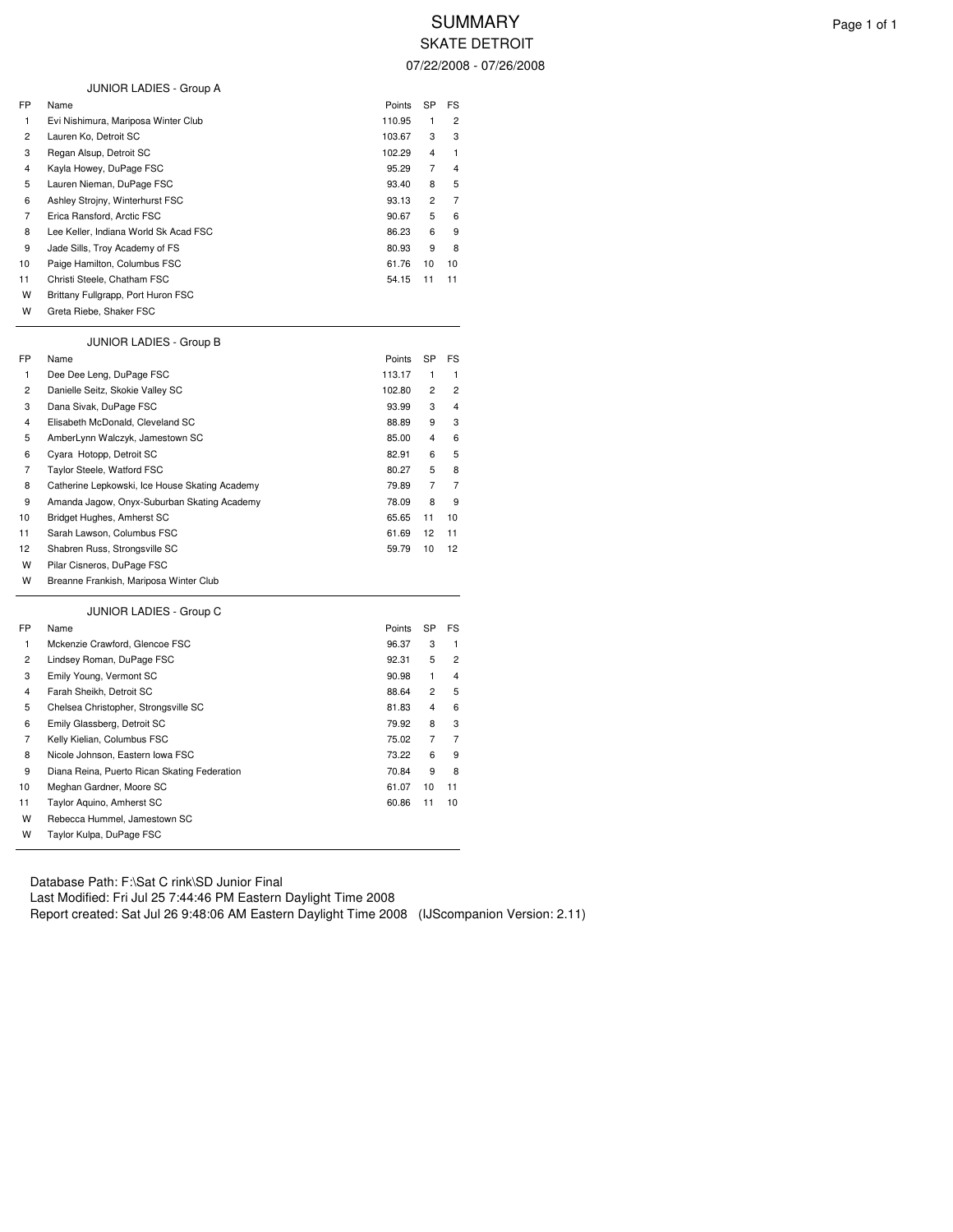| FP             | Name                                           | Points | SP             | FS             |
|----------------|------------------------------------------------|--------|----------------|----------------|
| 1              | Evi Nishimura, Mariposa Winter Club            | 110.95 | 1              | 2              |
| $\overline{c}$ | Lauren Ko, Detroit SC                          | 103.67 | 3              | 3              |
| 3              | Regan Alsup, Detroit SC                        | 102.29 | 4              | 1              |
| 4              | Kayla Howey, DuPage FSC                        | 95.29  | 7              | 4              |
| 5              | Lauren Nieman, DuPage FSC                      | 93.40  | 8              | 5              |
| 6              | Ashley Strojny, Winterhurst FSC                | 93.13  | $\overline{c}$ | 7              |
| $\overline{7}$ | Erica Ransford, Arctic FSC                     | 90.67  | 5              | 6              |
| 8              | Lee Keller, Indiana World Sk Acad FSC          | 86.23  | 6              | 9              |
| 9              | Jade Sills, Troy Academy of FS                 | 80.93  | 9              | 8              |
| 10             | Paige Hamilton, Columbus FSC                   | 61.76  | 10             | 10             |
| 11             | Christi Steele, Chatham FSC                    | 54.15  | 11             | 11             |
| W              | Brittany Fullgrapp, Port Huron FSC             |        |                |                |
| W              | Greta Riebe, Shaker FSC                        |        |                |                |
|                | JUNIOR LADIES - Group B                        |        |                |                |
| FP             | Name                                           | Points | SP             | FS             |
| 1              | Dee Dee Leng, DuPage FSC                       | 113.17 | 1              | 1              |
| $\overline{c}$ | Danielle Seitz, Skokie Valley SC               | 102.80 | 2              | $\overline{c}$ |
| 3              | Dana Sivak, DuPage FSC                         | 93.99  | 3              | 4              |
| $\overline{4}$ | Elisabeth McDonald, Cleveland SC               | 88.89  | 9              | 3              |
| 5              | AmberLynn Walczyk, Jamestown SC                | 85.00  | 4              | 6              |
| 6              | Cyara Hotopp, Detroit SC                       | 82.91  | 6              | 5              |
| $\overline{7}$ | Taylor Steele, Watford FSC                     | 80.27  | 5              | 8              |
| 8              | Catherine Lepkowski, Ice House Skating Academy | 79.89  | $\overline{7}$ | $\overline{7}$ |
| 9              | Amanda Jagow, Onyx-Suburban Skating Academy    | 78.09  | 8              | 9              |
| 10             | Bridget Hughes, Amherst SC                     | 65.65  | 11             | 10             |
| 11             | Sarah Lawson, Columbus FSC                     | 61.69  | 12             | 11             |
| 12             | Shabren Russ, Strongsville SC                  | 59.79  | 10             | 12             |
| W              | Pilar Cisneros, DuPage FSC                     |        |                |                |
| w              | Breanne Frankish, Mariposa Winter Club         |        |                |                |
|                | JUNIOR LADIES - Group C                        |        |                |                |
| FP             | Name                                           | Points | SP             | FS             |
| 1              | Mckenzie Crawford, Glencoe FSC                 | 96.37  | 3              | 1              |
| $\overline{c}$ | Lindsey Roman, DuPage FSC                      | 92.31  | 5              | $\overline{c}$ |
| 3              | Emily Young, Vermont SC                        | 90.98  | 1              | 4              |
| $\overline{4}$ | Farah Sheikh, Detroit SC                       | 88.64  | 2              | 5              |
| 5              | Chelsea Christopher, Strongsville SC           | 81.83  | 4              | 6              |
| 6              | Emily Glassberg, Detroit SC                    | 79.92  | 8              | 3              |
| $\overline{7}$ | Kelly Kielian, Columbus FSC                    | 75.02  | 7              | 7              |
| 8              | Nicole Johnson, Eastern Iowa FSC               | 73.22  | 6              | 9              |
| 9              | Diana Reina, Puerto Rican Skating Federation   | 70.84  | 9              | 8              |
| 10             | Meghan Gardner, Moore SC                       | 61.07  | 10             | 11             |
| 11             | Taylor Aquino, Amherst SC                      | 60.86  | 11             | 10             |
| W              | Rebecca Hummel, Jamestown SC                   |        |                |                |
| W              | Taylor Kulpa, DuPage FSC                       |        |                |                |

Database Path: F:\Sat C rink\SD Junior Final

JUNIOR LADIES - Group A

Last Modified: Fri Jul 25 7:44:46 PM Eastern Daylight Time 2008

Report created: Sat Jul 26 9:48:06 AM Eastern Daylight Time 2008 (IJScompanion Version: 2.11)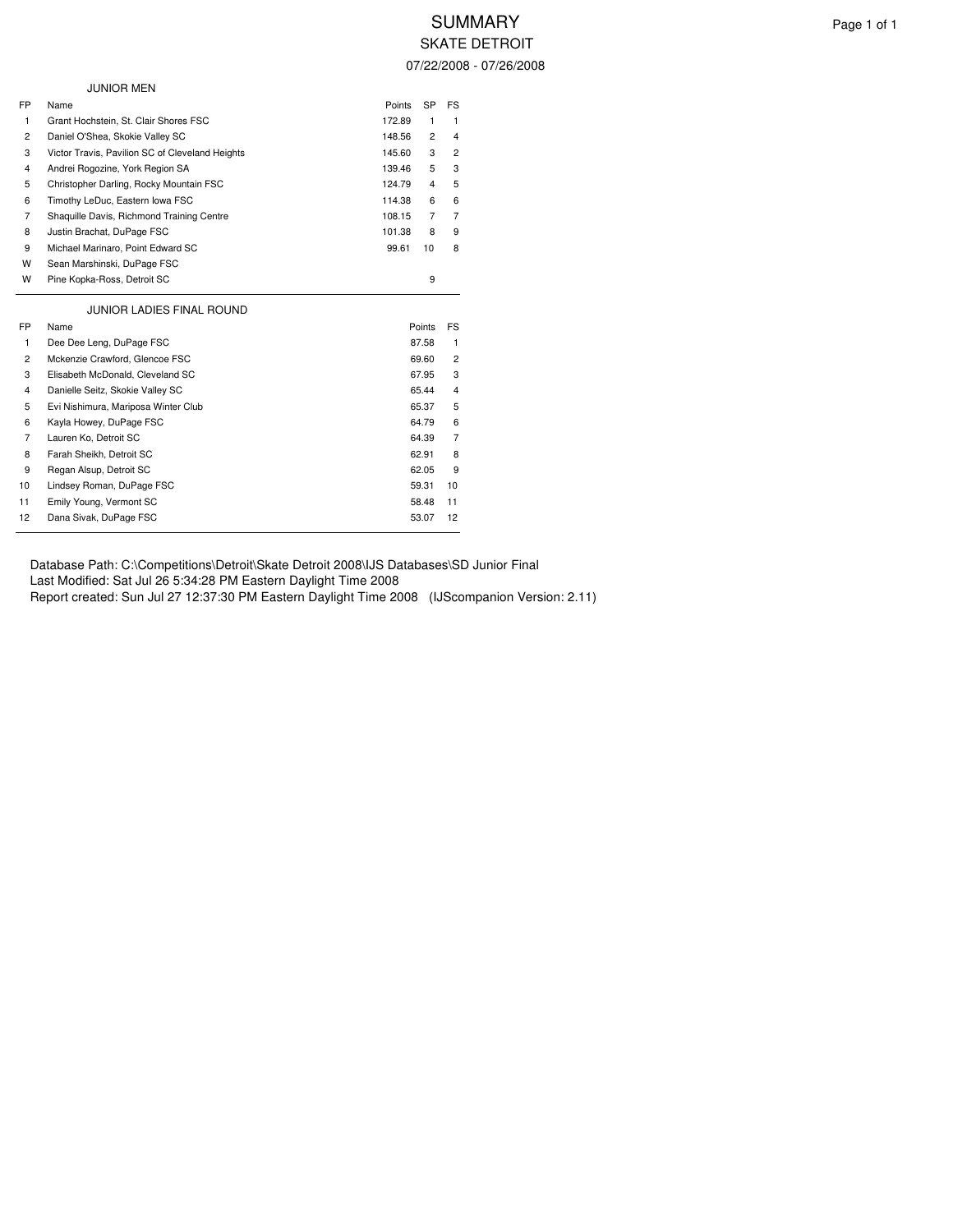## 07/22/2008 - 07/26/2008

|                | <b>JUNIOR MEN</b>                               |        |                |                |  |
|----------------|-------------------------------------------------|--------|----------------|----------------|--|
| FP             | Name                                            | Points | SP             | FS             |  |
| 1              | Grant Hochstein, St. Clair Shores FSC           | 172.89 | 1              | 1              |  |
| 2              | Daniel O'Shea, Skokie Valley SC                 | 148.56 | $\overline{2}$ | 4              |  |
| 3              | Victor Travis, Pavilion SC of Cleveland Heights | 145.60 | 3              | $\overline{c}$ |  |
| 4              | Andrei Rogozine, York Region SA                 | 139.46 | 5              | 3              |  |
| 5              | Christopher Darling, Rocky Mountain FSC         | 124.79 | 4              | 5              |  |
| 6              | Timothy LeDuc, Eastern Iowa FSC                 | 114.38 | 6              | 6              |  |
| 7              | Shaquille Davis, Richmond Training Centre       | 108.15 | $\overline{7}$ | $\overline{7}$ |  |
| 8              | Justin Brachat, DuPage FSC                      | 101.38 | 8              | 9              |  |
| 9              | Michael Marinaro, Point Edward SC               | 99.61  | 10             | 8              |  |
| w              | Sean Marshinski, DuPage FSC                     |        |                |                |  |
| W              | Pine Kopka-Ross, Detroit SC                     |        | 9              |                |  |
|                | <b>JUNIOR LADIES FINAL ROUND</b>                |        |                |                |  |
| FP             | Name                                            |        | Points         | FS             |  |
| 1              | Dee Dee Leng, DuPage FSC                        |        | 87.58          | 1              |  |
| $\overline{c}$ | Mckenzie Crawford, Glencoe FSC                  |        | 69.60          | $\overline{c}$ |  |
| 3              | Elisabeth McDonald, Cleveland SC                |        | 67.95          | 3              |  |
| 4              | Danielle Seitz, Skokie Valley SC                |        | 65.44          | 4              |  |
| 5              | Evi Nishimura, Mariposa Winter Club             |        | 65.37          | 5              |  |
| 6              | Kayla Howey, DuPage FSC                         |        | 64.79          | 6              |  |
| 7              | Lauren Ko, Detroit SC                           |        | 64.39          | $\overline{7}$ |  |
| 8              | Farah Sheikh, Detroit SC                        |        | 62.91          | 8              |  |
| 9              | Regan Alsup, Detroit SC                         |        | 62.05          | 9              |  |
| 10             | Lindsey Roman, DuPage FSC                       |        | 59.31          | 10             |  |
| 11             | Emily Young, Vermont SC                         |        | 58.48          | 11             |  |
| 12             | Dana Sivak, DuPage FSC                          |        | 53.07          | 12             |  |
|                |                                                 |        |                |                |  |

 $\overline{\phantom{a}}$ 

Database Path: C:\Competitions\Detroit\Skate Detroit 2008\IJS Databases\SD Junior Final Last Modified: Sat Jul 26 5:34:28 PM Eastern Daylight Time 2008 Report created: Sun Jul 27 12:37:30 PM Eastern Daylight Time 2008 (IJScompanion Version: 2.11)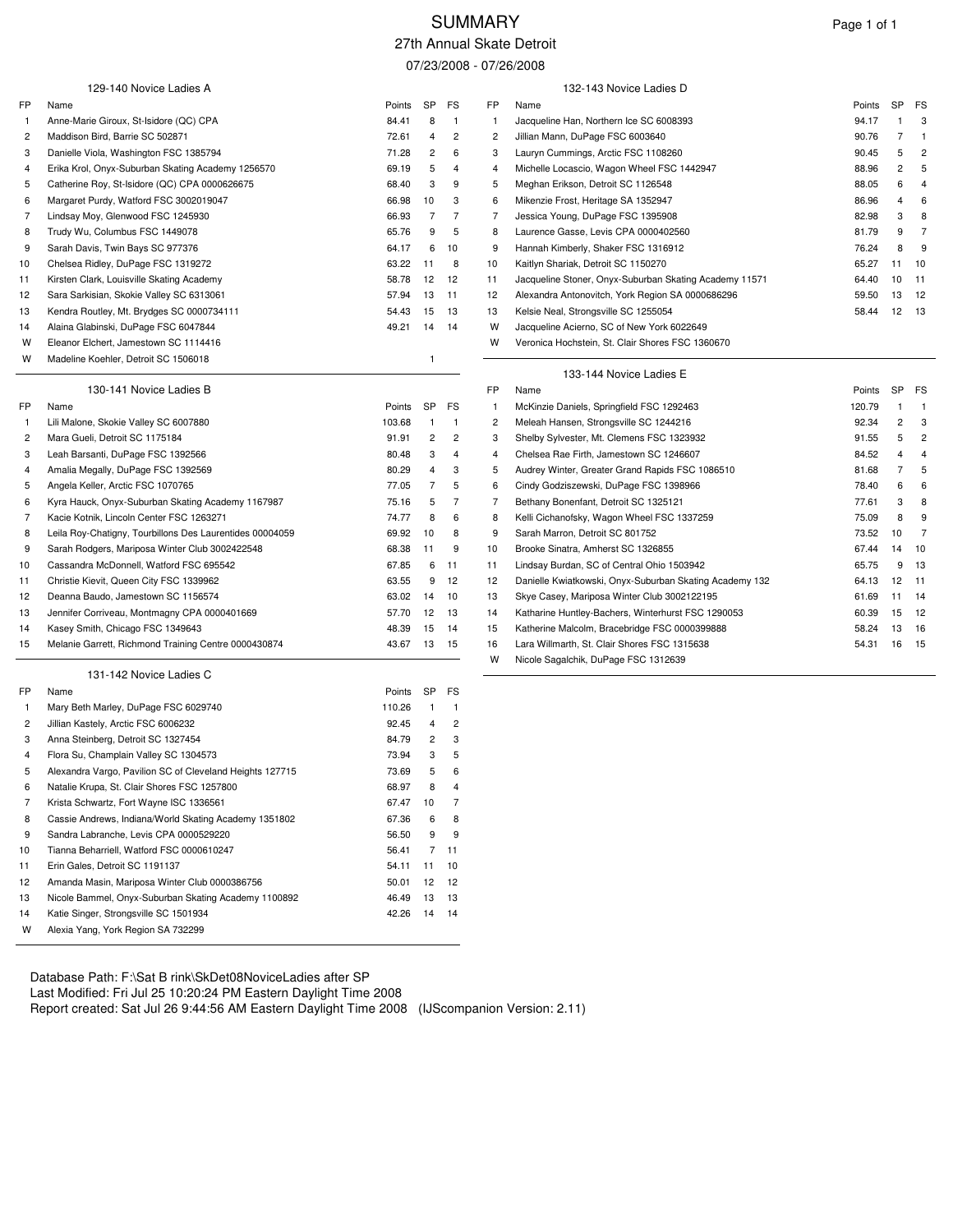# SUMMARY Page 1 of 1

### 27th Annual Skate Detroit

07/23/2008 - 07/26/2008

|     |                                                          |          |                | ⊷              |                | $V/I$ $V/I$                                             |        |                |                |
|-----|----------------------------------------------------------|----------|----------------|----------------|----------------|---------------------------------------------------------|--------|----------------|----------------|
|     | 129-140 Novice Ladies A                                  |          |                |                |                | 132-143 Novice Ladies D                                 |        |                |                |
| FP  | Name                                                     | Points   | <b>SP</b>      | FS             | FP             | Name                                                    | Points | SP             | FS             |
| 1   | Anne-Marie Giroux, St-Isidore (QC) CPA                   | 84.41    | 8              | $\overline{1}$ | $\mathbf{1}$   | Jacqueline Han, Northern Ice SC 6008393                 | 94.17  | -1             | 3              |
| 2   | Maddison Bird, Barrie SC 502871                          | 72.61    | 4              | $\overline{c}$ | 2              | Jillian Mann, DuPage FSC 6003640                        | 90.76  | 7              | $\mathbf{1}$   |
| 3   | Danielle Viola, Washington FSC 1385794                   | 71.28    | 2              | 6              | 3              | Lauryn Cummings, Arctic FSC 1108260                     | 90.45  | 5              | $\overline{c}$ |
| 4   | Erika Krol, Onyx-Suburban Skating Academy 1256570        | 69.19    | 5              | 4              | 4              | Michelle Locascio, Wagon Wheel FSC 1442947              | 88.96  | $\overline{c}$ | 5              |
| 5   | Catherine Roy, St-Isidore (QC) CPA 0000626675            | 68.40    | 3              | 9              | 5              | Meghan Erikson, Detroit SC 1126548                      | 88.05  | 6              | 4              |
| 6   | Margaret Purdy, Watford FSC 3002019047                   | 66.98    | 10             | 3              | 6              | Mikenzie Frost, Heritage SA 1352947                     | 86.96  | 4              | 6              |
| 7   | Lindsay Moy, Glenwood FSC 1245930                        | 66.93    | 7              | $\overline{7}$ | $\overline{7}$ | Jessica Young, DuPage FSC 1395908                       | 82.98  | 3              | 8              |
| 8   | Trudy Wu, Columbus FSC 1449078                           | 65.76    | 9              | 5              | 8              | Laurence Gasse, Levis CPA 0000402560                    | 81.79  | 9              | $\overline{7}$ |
| 9   | Sarah Davis, Twin Bays SC 977376                         | 64.17    | 6              | 10             | 9              | Hannah Kimberly, Shaker FSC 1316912                     | 76.24  | 8              | 9              |
| 10  | Chelsea Ridley, DuPage FSC 1319272                       | 63.22    | - 11           | 8              | 10             | Kaitlyn Shariak, Detroit SC 1150270                     | 65.27  | 11             | 10             |
| 11  | Kirsten Clark, Louisville Skating Academy                | 58.78    | 12             | 12             | 11             | Jacqueline Stoner, Onyx-Suburban Skating Academy 11571  | 64.40  | 10             | 11             |
| 12  | Sara Sarkisian, Skokie Valley SC 6313061                 | 57.94    | 13             | 11             | 12             | Alexandra Antonovitch, York Region SA 0000686296        | 59.50  | 13             | 12             |
| 13  | Kendra Routley, Mt. Brydges SC 0000734111                | 54.43    | 15             | 13             | 13             | Kelsie Neal, Strongsville SC 1255054                    | 58.44  | 12             | 13             |
| 14  | Alaina Glabinski, DuPage FSC 6047844                     | 49.21    | 14             | 14             | w              | Jacqueline Acierno, SC of New York 6022649              |        |                |                |
| W   | Eleanor Elchert, Jamestown SC 1114416                    |          |                |                | W              | Veronica Hochstein, St. Clair Shores FSC 1360670        |        |                |                |
| w   | Madeline Koehler, Detroit SC 1506018                     |          | $\overline{1}$ |                |                |                                                         |        |                |                |
|     |                                                          |          |                |                |                | 133-144 Novice Ladies E                                 |        |                |                |
|     | 130-141 Novice Ladies B                                  |          |                |                | FP             | Name                                                    | Points | <b>SP</b>      | FS             |
| FP  | Name                                                     | Points   | <b>SP</b>      | FS             | $\mathbf{1}$   | McKinzie Daniels, Springfield FSC 1292463               | 120.79 |                | $\mathbf{1}$   |
| -1. | Lili Malone, Skokie Valley SC 6007880                    | 103.68   | $\overline{1}$ | $\overline{1}$ | 2              | Meleah Hansen, Strongsville SC 1244216                  | 92.34  | $\overline{c}$ | 3              |
| 2   | Mara Gueli, Detroit SC 1175184                           | 91.91    | 2              | $\overline{c}$ | 3              | Shelby Sylvester, Mt. Clemens FSC 1323932               | 91.55  | 5              | $\overline{c}$ |
| 3   | Leah Barsanti, DuPage FSC 1392566                        | 80.48    | 3              | $\overline{4}$ | 4              | Chelsea Rae Firth, Jamestown SC 1246607                 | 84.52  | 4              | $\overline{4}$ |
| 4   | Amalia Megally, DuPage FSC 1392569                       | 80.29    | 4              | 3              | 5              | Audrey Winter, Greater Grand Rapids FSC 1086510         | 81.68  | 7              | 5              |
| 5   | Angela Keller, Arctic FSC 1070765                        | 77.05    | 7              | 5              | 6              | Cindy Godziszewski, DuPage FSC 1398966                  | 78.40  | 6              | 6              |
| 6   | Kyra Hauck, Onyx-Suburban Skating Academy 1167987        | 75.16    | 5              | 7              | 7              | Bethany Bonenfant, Detroit SC 1325121                   | 77.61  | 3              | 8              |
| 7   | Kacie Kotnik, Lincoln Center FSC 1263271                 | 74.77    | 8              | 6              | 8              | Kelli Cichanofsky, Wagon Wheel FSC 1337259              | 75.09  | 8              | 9              |
| 8   | Leila Roy-Chatigny, Tourbillons Des Laurentides 00004059 | 69.92    | 10             | 8              | 9              | Sarah Marron, Detroit SC 801752                         | 73.52  | 10             | $\overline{7}$ |
| 9   | Sarah Rodgers, Mariposa Winter Club 3002422548           | 68.38    | 11             | 9              | 10             | Brooke Sinatra, Amherst SC 1326855                      | 67.44  | 14             | 10             |
| 10  | Cassandra McDonnell, Watford FSC 695542                  | 67.85    | 6              | 11             | 11             | Lindsay Burdan, SC of Central Ohio 1503942              | 65.75  | 9              | 13             |
| 11  | Christie Kievit, Queen City FSC 1339962                  | 63.55    | 9              | 12             | 12             | Danielle Kwiatkowski, Onyx-Suburban Skating Academy 132 | 64.13  | 12             | 11             |
| 12  | Deanna Baudo, Jamestown SC 1156574                       | 63.02    | 14             | 10             | 13             | Skye Casey, Mariposa Winter Club 3002122195             | 61.69  | 11             | 14             |
| 13  | Jennifer Corriveau, Montmagny CPA 0000401669             | 57.70    | 12             | 13             | 14             | Katharine Huntley-Bachers, Winterhurst FSC 1290053      | 60.39  | 15             | 12             |
| 14  | Kasey Smith, Chicago FSC 1349643                         | 48.39    | 15             | 14             | 15             | Katherine Malcolm, Bracebridge FSC 0000399888           | 58.24  | 13             | 16             |
| 15  | Melanie Garrett, Richmond Training Centre 0000430874     | 43.67    | 13             | 15             | 16             | Lara Willmarth, St. Clair Shores FSC 1315638            | 54.31  | 16             | 15             |
|     |                                                          |          |                |                | W              | Nicole Sagalchik, DuPage FSC 1312639                    |        |                |                |
|     | 131-142 Novice Ladies C                                  |          |                |                |                |                                                         |        |                |                |
| FP  | Name                                                     | Points   | <b>SP</b>      | FS             |                |                                                         |        |                |                |
| -1  | Mary Beth Marley, DuPage FSC 6029740                     | 110.26   | -1             | $\overline{1}$ |                |                                                         |        |                |                |
| 2   | Jillian Kastely, Arctic FSC 6006232                      | 92.45    | 4              | $\overline{c}$ |                |                                                         |        |                |                |
| 3   | Anna Steinberg, Detroit SC 1327454                       | 84.79    | $\overline{c}$ | 3              |                |                                                         |        |                |                |
| 4   | Flora Su, Champlain Valley SC 1304573                    | 73.94    | 3              | 5              |                |                                                         |        |                |                |
| 5   | Alexandra Vargo, Pavilion SC of Cleveland Heights 127715 | 73.69    | 5              | 6              |                |                                                         |        |                |                |
| 6   | Natalie Krupa, St. Clair Shores FSC 1257800              | 68.97    | 8              | $\overline{4}$ |                |                                                         |        |                |                |
| 7   | Krista Schwartz, Fort Wayne ISC 1336561                  | 67.47    | 10             | $\overline{7}$ |                |                                                         |        |                |                |
| 8   | Cassie Andrews, Indiana/World Skating Academy 1351802    | 67.36    | 6              | 8              |                |                                                         |        |                |                |
| 9   | Sandra Labranche, Levis CPA 0000529220                   | 56.50    | 9              | 9              |                |                                                         |        |                |                |
| 10  | Tianna Beharriell, Watford FSC 0000610247                | 56.41    | $\overline{7}$ | 11             |                |                                                         |        |                |                |
| 11  | Erin Gales, Detroit SC 1191137                           | 54.11 11 |                | 10             |                |                                                         |        |                |                |
| 12  | Amanda Masin, Mariposa Winter Club 0000386756            | 50.01 12 |                | 12             |                |                                                         |        |                |                |
| 13  | Nicole Bammel, Onyx-Suburban Skating Academy 1100892     | 46.49    | - 13           | 13             |                |                                                         |        |                |                |
| 14  | Katie Singer, Strongsville SC 1501934                    | 42.26 14 |                | 14             |                |                                                         |        |                |                |
| W   | Alexia Yang, York Region SA 732299                       |          |                |                |                |                                                         |        |                |                |

Database Path: F:\Sat B rink\SkDet08NoviceLadies after SP Last Modified: Fri Jul 25 10:20:24 PM Eastern Daylight Time 2008 Report created: Sat Jul 26 9:44:56 AM Eastern Daylight Time 2008 (IJScompanion Version: 2.11)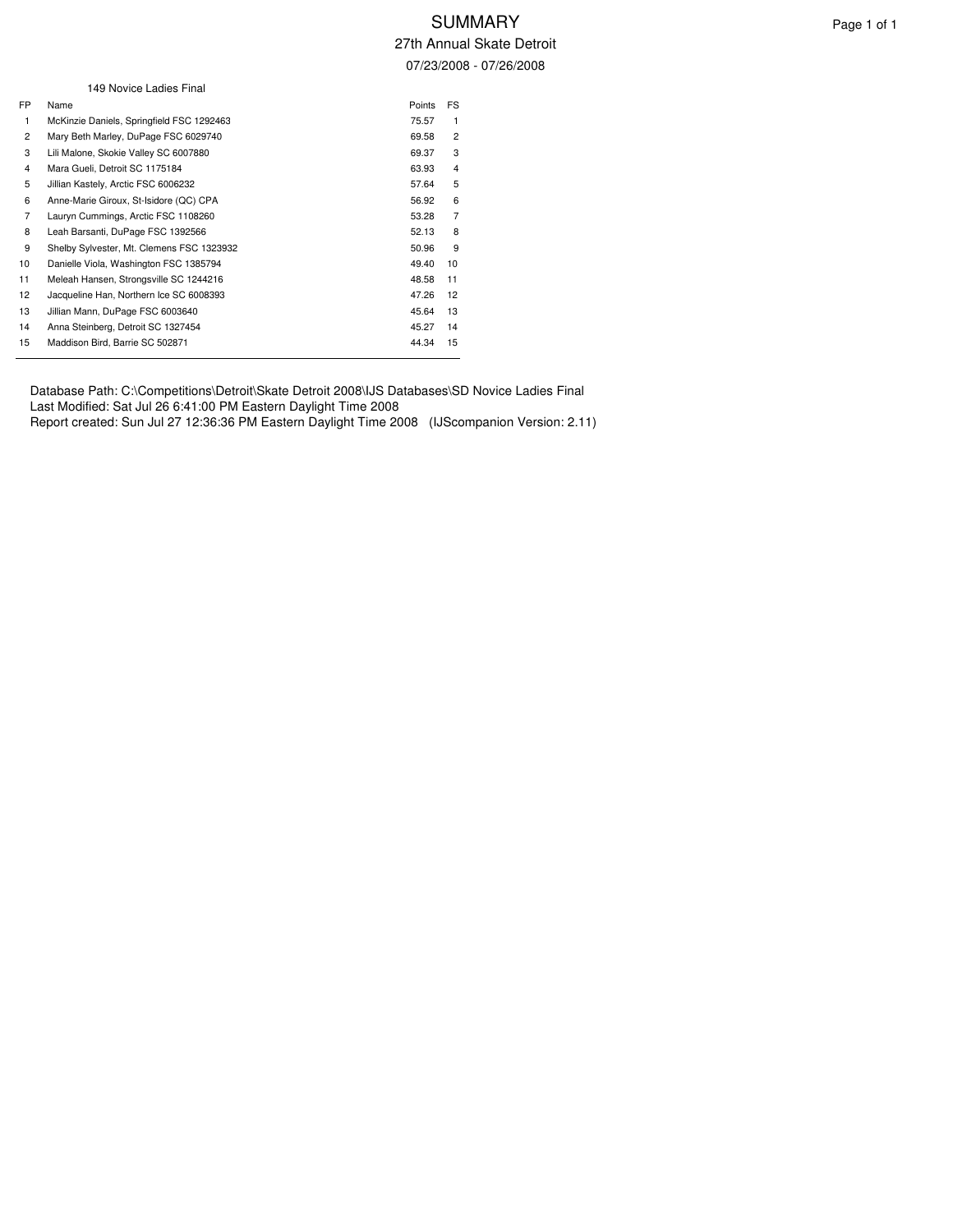07/23/2008 - 07/26/2008

|                | 149 Novice Ladies Final                   |        |                |
|----------------|-------------------------------------------|--------|----------------|
| FP.            | Name                                      | Points | FS             |
| 1              | McKinzie Daniels, Springfield FSC 1292463 | 75.57  | $\mathbf{1}$   |
| $\overline{2}$ | Mary Beth Marley, DuPage FSC 6029740      | 69.58  | $\overline{2}$ |
| 3              | Lili Malone, Skokie Valley SC 6007880     | 69.37  | 3              |
| 4              | Mara Gueli, Detroit SC 1175184            | 63.93  | $\overline{4}$ |
| 5              | Jillian Kastely, Arctic FSC 6006232       | 57.64  | 5              |
| 6              | Anne-Marie Giroux, St-Isidore (QC) CPA    | 56.92  | 6              |
| $\overline{7}$ | Lauryn Cummings, Arctic FSC 1108260       | 53.28  | $\overline{7}$ |
| 8              | Leah Barsanti, DuPage FSC 1392566         | 52.13  | 8              |
| 9              | Shelby Sylvester, Mt. Clemens FSC 1323932 | 50.96  | 9              |
| 10             | Danielle Viola, Washington FSC 1385794    | 49.40  | 10             |
| 11             | Meleah Hansen, Strongsville SC 1244216    | 48.58  | 11             |
| 12             | Jacqueline Han, Northern Ice SC 6008393   | 47.26  | 12             |
| 13             | Jillian Mann, DuPage FSC 6003640          | 45.64  | 13             |
| 14             | Anna Steinberg, Detroit SC 1327454        | 45.27  | 14             |
| 15             | Maddison Bird, Barrie SC 502871           | 44.34  | 15             |

Database Path: C:\Competitions\Detroit\Skate Detroit 2008\IJS Databases\SD Novice Ladies Final Last Modified: Sat Jul 26 6:41:00 PM Eastern Daylight Time 2008

Report created: Sun Jul 27 12:36:36 PM Eastern Daylight Time 2008 (IJScompanion Version: 2.11)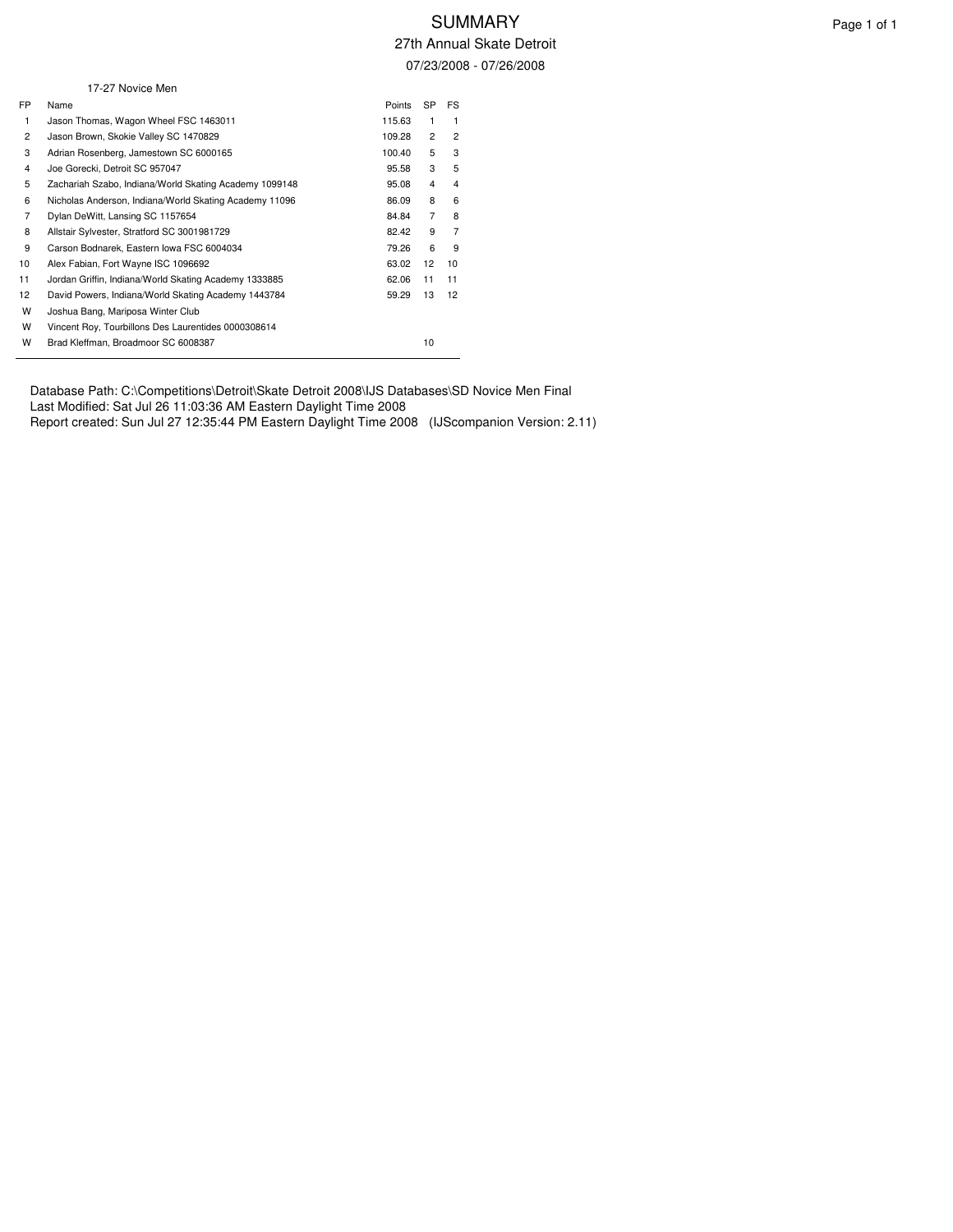27th Annual Skate Detroit 07/23/2008 - 07/26/2008

|                | 17-27 Novice Men                                       |        |                |                |  |
|----------------|--------------------------------------------------------|--------|----------------|----------------|--|
| FP             | Name                                                   | Points | <b>SP</b>      | FS             |  |
| 1              | Jason Thomas, Wagon Wheel FSC 1463011                  | 115.63 | 1              | 1              |  |
| 2              | Jason Brown, Skokie Valley SC 1470829                  | 109.28 | $\overline{2}$ | $\overline{2}$ |  |
| 3              | Adrian Rosenberg, Jamestown SC 6000165                 | 100.40 | 5              | 3              |  |
| 4              | Joe Gorecki, Detroit SC 957047                         | 95.58  | 3              | 5              |  |
| 5              | Zachariah Szabo, Indiana/World Skating Academy 1099148 | 95.08  | 4              | 4              |  |
| 6              | Nicholas Anderson, Indiana/World Skating Academy 11096 | 86.09  | 8              | 6              |  |
| $\overline{7}$ | Dylan DeWitt, Lansing SC 1157654                       | 84.84  | $\overline{7}$ | 8              |  |
| 8              | Allstair Sylvester, Stratford SC 3001981729            | 82.42  | 9              | $\overline{7}$ |  |
| 9              | Carson Bodnarek, Eastern Iowa FSC 6004034              | 79.26  | 6              | 9              |  |
| 10             | Alex Fabian, Fort Wayne ISC 1096692                    | 63.02  | 12             | 10             |  |
| 11             | Jordan Griffin, Indiana/World Skating Academy 1333885  | 62.06  | 11             | 11             |  |
| 12             | David Powers, Indiana/World Skating Academy 1443784    | 59.29  | 13             | 12             |  |
| W              | Joshua Bang, Mariposa Winter Club                      |        |                |                |  |
| W              | Vincent Roy, Tourbillons Des Laurentides 0000308614    |        |                |                |  |
| W              | Brad Kleffman, Broadmoor SC 6008387                    |        | 10             |                |  |

Database Path: C:\Competitions\Detroit\Skate Detroit 2008\IJS Databases\SD Novice Men Final Last Modified: Sat Jul 26 11:03:36 AM Eastern Daylight Time 2008 Report created: Sun Jul 27 12:35:44 PM Eastern Daylight Time 2008 (IJScompanion Version: 2.11)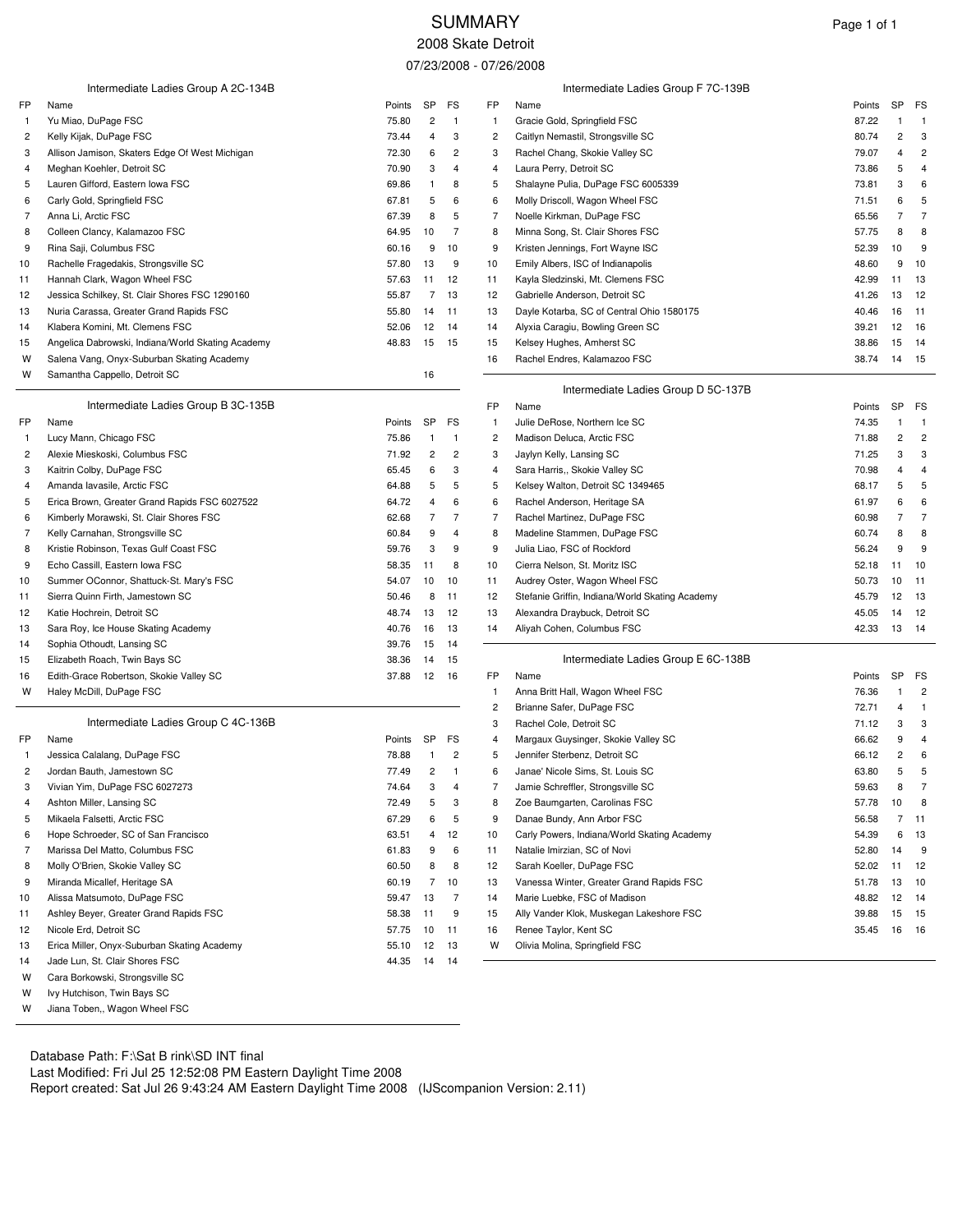## SUMMARY Page 1 of 1 2008 Skate Detroit

07/23/2008 - 07/26/2008

|                | Intermediate Ladies Group A 2C-134B               |        |                         |                |                | Intermediate Ladies Group F 7C-139B             |        |    |                |
|----------------|---------------------------------------------------|--------|-------------------------|----------------|----------------|-------------------------------------------------|--------|----|----------------|
| FP             | Name                                              | Points | <b>SP</b>               | FS             | FP             | Name                                            | Points | SP | FS             |
| $\mathbf{1}$   | Yu Miao, DuPage FSC                               | 75.80  | $\overline{\mathbf{c}}$ | $\overline{1}$ | $\overline{1}$ | Gracie Gold, Springfield FSC                    | 87.22  | -1 | $\overline{1}$ |
| 2              | Kelly Kijak, DuPage FSC                           | 73.44  | 4                       | 3              | $\overline{c}$ | Caitlyn Nemastil, Strongsville SC               | 80.74  | 2  | 3              |
| 3              | Allison Jamison, Skaters Edge Of West Michigan    | 72.30  | 6                       | 2              | 3              | Rachel Chang, Skokie Valley SC                  | 79.07  | 4  | $\overline{c}$ |
| 4              | Meghan Koehler, Detroit SC                        | 70.90  | 3                       | 4              | $\overline{4}$ | Laura Perry, Detroit SC                         | 73.86  | 5  | 4              |
| 5              | Lauren Gifford, Eastern Iowa FSC                  | 69.86  | 1                       | 8              | 5              | Shalayne Pulia, DuPage FSC 6005339              | 73.81  | 3  | 6              |
| 6              | Carly Gold, Springfield FSC                       | 67.81  | 5                       | 6              | 6              | Molly Driscoll, Wagon Wheel FSC                 | 71.51  | 6  | 5              |
| 7              | Anna Li, Arctic FSC                               | 67.39  | 8                       | 5              | 7              | Noelle Kirkman, DuPage FSC                      | 65.56  | 7  | $\overline{7}$ |
| 8              | Colleen Clancy, Kalamazoo FSC                     | 64.95  | 10                      | 7              | 8              | Minna Song, St. Clair Shores FSC                | 57.75  | 8  | 8              |
| 9              | Rina Saji, Columbus FSC                           | 60.16  | 9                       | 10             | 9              | Kristen Jennings, Fort Wayne ISC                | 52.39  | 10 | 9              |
| 10             | Rachelle Fragedakis, Strongsville SC              | 57.80  | 13                      | 9              | 10             | Emily Albers, ISC of Indianapolis               | 48.60  | 9  | 10             |
| 11             | Hannah Clark, Wagon Wheel FSC                     | 57.63  | 11                      | 12             | 11             | Kayla Sledzinski, Mt. Clemens FSC               | 42.99  | 11 | 13             |
| 12             | Jessica Schilkey, St. Clair Shores FSC 1290160    | 55.87  | 7                       | 13             | 12             | Gabrielle Anderson, Detroit SC                  | 41.26  | 13 | 12             |
| 13             | Nuria Carassa, Greater Grand Rapids FSC           | 55.80  | 14                      | 11             | 13             | Dayle Kotarba, SC of Central Ohio 1580175       | 40.46  | 16 | 11             |
| 14             | Klabera Komini, Mt. Clemens FSC                   | 52.06  | 12                      | 14             | 14             | Alyxia Caragiu, Bowling Green SC                | 39.21  | 12 | 16             |
| 15             | Angelica Dabrowski, Indiana/World Skating Academy | 48.83  | 15                      | 15             | 15             | Kelsey Hughes, Amherst SC                       | 38.86  | 15 | 14             |
| W              | Salena Vang, Onyx-Suburban Skating Academy        |        |                         |                | 16             | Rachel Endres, Kalamazoo FSC                    | 38.74  | 14 | 15             |
| W              | Samantha Cappello, Detroit SC                     |        | 16                      |                |                |                                                 |        |    |                |
|                |                                                   |        |                         |                |                | Intermediate Ladies Group D 5C-137B             |        |    |                |
|                | Intermediate Ladies Group B 3C-135B               |        |                         |                | FP             | Name                                            | Points | SP | FS             |
| FP             | Name                                              | Points | <b>SP</b>               | FS             | -1             | Julie DeRose, Northern Ice SC                   | 74.35  | -1 | $\overline{1}$ |
| $\mathbf{1}$   | Lucy Mann, Chicago FSC                            | 75.86  | -1                      | $\overline{1}$ | $\overline{c}$ | Madison Deluca, Arctic FSC                      | 71.88  | 2  | $\overline{c}$ |
| $\overline{c}$ | Alexie Mieskoski, Columbus FSC                    | 71.92  | 2                       | 2              | 3              | Jaylyn Kelly, Lansing SC                        | 71.25  | 3  | 3              |
| 3              | Kaitrin Colby, DuPage FSC                         | 65.45  | 6                       | 3              | 4              | Sara Harris,, Skokie Valley SC                  | 70.98  | 4  | 4              |
| 4              | Amanda lavasile, Arctic FSC                       | 64.88  | 5                       | 5              | 5              | Kelsey Walton, Detroit SC 1349465               | 68.17  | 5  | 5              |
| 5              | Erica Brown, Greater Grand Rapids FSC 6027522     | 64.72  | 4                       | 6              | 6              | Rachel Anderson, Heritage SA                    | 61.97  | 6  | 6              |
| 6              | Kimberly Morawski, St. Clair Shores FSC           | 62.68  | 7                       | 7              | 7              | Rachel Martinez, DuPage FSC                     | 60.98  | 7  | $\overline{7}$ |
| 7              | Kelly Carnahan, Strongsville SC                   | 60.84  | 9                       | 4              | 8              | Madeline Stammen, DuPage FSC                    | 60.74  | 8  | 8              |
| 8              | Kristie Robinson, Texas Gulf Coast FSC            | 59.76  | 3                       | 9              | 9              | Julia Liao, FSC of Rockford                     | 56.24  | 9  | 9              |
| 9              | Echo Cassill, Eastern Iowa FSC                    | 58.35  | 11                      | 8              | 10             | Cierra Nelson, St. Moritz ISC                   | 52.18  | 11 | 10             |
| 10             | Summer OConnor, Shattuck-St. Mary's FSC           | 54.07  | 10                      | 10             | 11             | Audrey Oster, Wagon Wheel FSC                   | 50.73  | 10 | 11             |
| 11             | Sierra Quinn Firth, Jamestown SC                  | 50.46  | 8                       | 11             | 12             | Stefanie Griffin, Indiana/World Skating Academy | 45.79  | 12 | 13             |
| 12             | Katie Hochrein, Detroit SC                        | 48.74  | 13                      | 12             | 13             | Alexandra Draybuck, Detroit SC                  | 45.05  | 14 | 12             |
| 13             | Sara Roy, Ice House Skating Academy               | 40.76  | 16                      | 13             | 14             | Aliyah Cohen, Columbus FSC                      | 42.33  | 13 | -14            |
| 14             | Sophia Othoudt, Lansing SC                        | 39.76  | 15                      | 14             |                |                                                 |        |    |                |
| 15             | Elizabeth Roach, Twin Bays SC                     | 38.36  | 14                      | 15             |                | Intermediate Ladies Group E 6C-138B             |        |    |                |
| 16             | Edith-Grace Robertson, Skokie Valley SC           | 37.88  | 12                      | 16             | FP             | Name                                            | Points | SP | FS             |
| W              | Haley McDill, DuPage FSC                          |        |                         |                | $\mathbf{1}$   | Anna Britt Hall, Wagon Wheel FSC                | 76.36  | 1  | $\overline{c}$ |
|                |                                                   |        |                         |                | $\overline{c}$ | Brianne Safer, DuPage FSC                       | 72.71  | 4  | $\overline{1}$ |
|                | Intermediate Ladies Group C 4C-136B               |        |                         |                | 3              | Rachel Cole, Detroit SC                         | 71.12  | 3  | 3              |
| FP             | Name                                              | Points | SP                      | FS             | 4              | Margaux Guysinger, Skokie Valley SC             | 66.62  | 9  | 4              |
| $\mathbf{1}$   | Jessica Calalang, DuPage FSC                      | 78.88  | -1                      | $\overline{c}$ | 5              | Jennifer Sterbenz, Detroit SC                   | 66.12  | 2  | 6              |
| 2              | Jordan Bauth, Jamestown SC                        | 77.49  | $\overline{c}$          | $\overline{1}$ | 6              | Janae' Nicole Sims, St. Louis SC                | 63.80  | 5  | 5              |
| 3              | Vivian Yim, DuPage FSC 6027273                    | 74.64  | 3                       | 4              | 7              | Jamie Schreffler, Strongsville SC               | 59.63  | 8  | $\overline{7}$ |
| 4              | Ashton Miller, Lansing SC                         | 72.49  | 5                       | 3              | 8              | Zoe Baumgarten, Carolinas FSC                   | 57.78  | 10 | 8              |
| 5              | Mikaela Falsetti, Arctic FSC                      | 67.29  | 6                       | 5              | 9              | Danae Bundy, Ann Arbor FSC                      | 56.58  | 7  | -11            |
| 6              | Hope Schroeder, SC of San Francisco               | 63.51  | 4                       | 12             | 10             | Carly Powers, Indiana/World Skating Academy     | 54.39  | 6  | 13             |
| 7              | Marissa Del Matto, Columbus FSC                   | 61.83  | 9                       | 6              | 11             | Natalie Imirzian, SC of Novi                    | 52.80  | 14 | 9              |
| 8              | Molly O'Brien, Skokie Valley SC                   | 60.50  | 8                       | 8              | 12             | Sarah Koeller, DuPage FSC                       | 52.02  | 11 | 12             |
| 9              | Miranda Micallef, Heritage SA                     | 60.19  | $\overline{7}$          | 10             | 13             | Vanessa Winter, Greater Grand Rapids FSC        | 51.78  | 13 | 10             |
| 10             | Alissa Matsumoto, DuPage FSC                      | 59.47  | 13                      | $\overline{7}$ | 14             | Marie Luebke, FSC of Madison                    | 48.82  | 12 | 14             |
| 11             | Ashley Beyer, Greater Grand Rapids FSC            | 58.38  | 11                      | 9              | 15             | Ally Vander Klok, Muskegan Lakeshore FSC        | 39.88  | 15 | 15             |
| 12             | Nicole Erd, Detroit SC                            | 57.75  | 10                      | 11             | 16             | Renee Taylor, Kent SC                           | 35.45  | 16 | 16             |
| 13             | Erica Miller, Onyx-Suburban Skating Academy       | 55.10  | 12                      | 13             | w              | Olivia Molina, Springfield FSC                  |        |    |                |
| 14             | Jade Lun, St. Clair Shores FSC                    | 44.35  | 14                      | 14             |                |                                                 |        |    |                |
| W              | Cara Borkowski, Strongsville SC                   |        |                         |                |                |                                                 |        |    |                |

W Ivy Hutchison, Twin Bays SC

W Jiana Toben,, Wagon Wheel FSC

Database Path: F:\Sat B rink\SD INT final Last Modified: Fri Jul 25 12:52:08 PM Eastern Daylight Time 2008 Report created: Sat Jul 26 9:43:24 AM Eastern Daylight Time 2008 (IJScompanion Version: 2.11)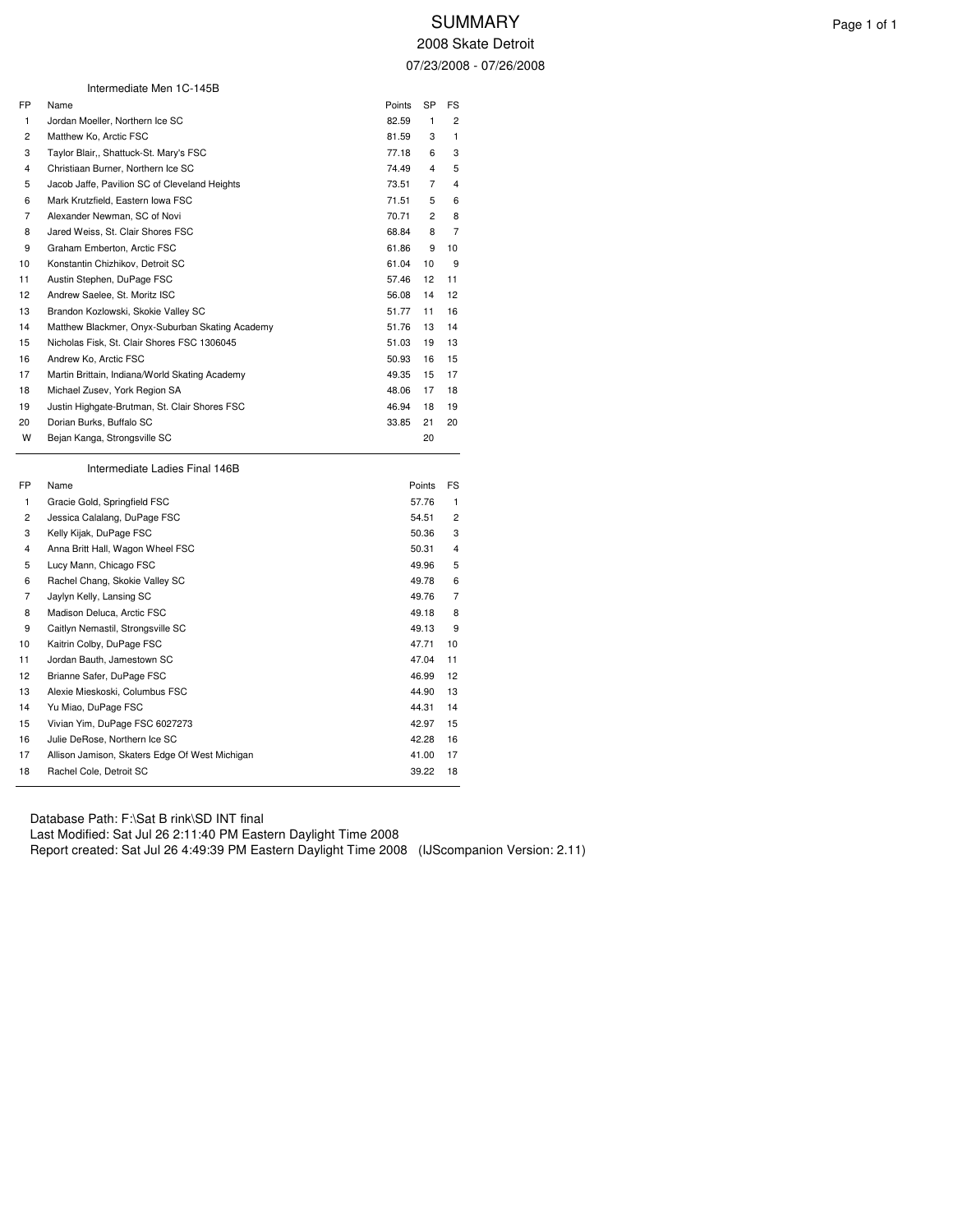|                | Intermediate Men 1C-145B                        |        |                |                |
|----------------|-------------------------------------------------|--------|----------------|----------------|
| FP.            | Name                                            | Points | SP             | FS             |
| $\mathbf{1}$   | Jordan Moeller, Northern Ice SC                 | 82.59  | 1              | $\overline{2}$ |
| 2              | Matthew Ko, Arctic FSC                          | 81.59  | 3              | 1              |
| 3              | Taylor Blair,, Shattuck-St. Mary's FSC          | 77.18  | 6              | 3              |
| 4              | Christiaan Burner, Northern Ice SC              | 74.49  | 4              | 5              |
| 5              | Jacob Jaffe, Pavilion SC of Cleveland Heights   | 73.51  | $\overline{7}$ | 4              |
| 6              | Mark Krutzfield, Eastern Iowa FSC               | 71.51  | 5              | 6              |
| $\overline{7}$ | Alexander Newman, SC of Novi                    | 70.71  | $\overline{2}$ | 8              |
| 8              | Jared Weiss, St. Clair Shores FSC               | 68.84  | 8              | $\overline{7}$ |
| 9              | Graham Emberton, Arctic FSC                     | 61.86  | 9              | 10             |
| 10             | Konstantin Chizhikov, Detroit SC                | 61.04  | 10             | 9              |
| 11             | Austin Stephen, DuPage FSC                      | 57.46  | 12             | 11             |
| 12             | Andrew Saelee, St. Moritz ISC                   | 56.08  | 14             | 12             |
| 13             | Brandon Kozlowski, Skokie Valley SC             | 51.77  | 11             | 16             |
| 14             | Matthew Blackmer, Onyx-Suburban Skating Academy | 51.76  | 13             | 14             |
| 15             | Nicholas Fisk, St. Clair Shores FSC 1306045     | 51.03  | 19             | 13             |
| 16             | Andrew Ko, Arctic FSC                           | 50.93  | 16             | 15             |
| 17             | Martin Brittain, Indiana/World Skating Academy  | 49.35  | 15             | 17             |
| 18             | Michael Zusev, York Region SA                   | 48.06  | 17             | 18             |
| 19             | Justin Highgate-Brutman, St. Clair Shores FSC   | 46.94  | 18             | 19             |
| 20             | Dorian Burks, Buffalo SC                        | 33.85  | 21             | 20             |
| W              | Bejan Kanga, Strongsville SC                    |        | 20             |                |
|                | Intermediate Ladies Final 146B                  |        |                |                |

| FP.            | Name                                           | Points | FS.            |
|----------------|------------------------------------------------|--------|----------------|
| 1              | Gracie Gold, Springfield FSC                   | 57.76  | 1              |
| $\overline{2}$ | Jessica Calalang, DuPage FSC                   | 54.51  | 2              |
| 3              | Kelly Kijak, DuPage FSC                        | 50.36  | 3              |
| 4              | Anna Britt Hall, Wagon Wheel FSC               | 50.31  | 4              |
| 5              | Lucy Mann, Chicago FSC                         | 49.96  | 5              |
| 6              | Rachel Chang, Skokie Valley SC                 | 49.78  | 6              |
| $\overline{7}$ | Jaylyn Kelly, Lansing SC                       | 49.76  | $\overline{7}$ |
| 8              | Madison Deluca, Arctic FSC                     | 49.18  | 8              |
| 9              | Caitlyn Nemastil, Strongsville SC              | 49.13  | 9              |
| 10             | Kaitrin Colby, DuPage FSC                      | 47.71  | 10             |
| 11             | Jordan Bauth, Jamestown SC                     | 47.04  | 11             |
| 12             | Brianne Safer, DuPage FSC                      | 46.99  | 12             |
| 13             | Alexie Mieskoski, Columbus FSC                 | 44.90  | 13             |
| 14             | Yu Miao, DuPage FSC                            | 44.31  | 14             |
| 15             | Vivian Yim, DuPage FSC 6027273                 | 42.97  | 15             |
| 16             | Julie DeRose, Northern Ice SC                  | 42.28  | 16             |
| 17             | Allison Jamison, Skaters Edge Of West Michigan | 41.00  | 17             |
| 18             | Rachel Cole, Detroit SC                        | 39.22  | 18             |
|                |                                                |        |                |

Database Path: F:\Sat B rink\SD INT final Last Modified: Sat Jul 26 2:11:40 PM Eastern Daylight Time 2008 Report created: Sat Jul 26 4:49:39 PM Eastern Daylight Time 2008 (IJScompanion Version: 2.11)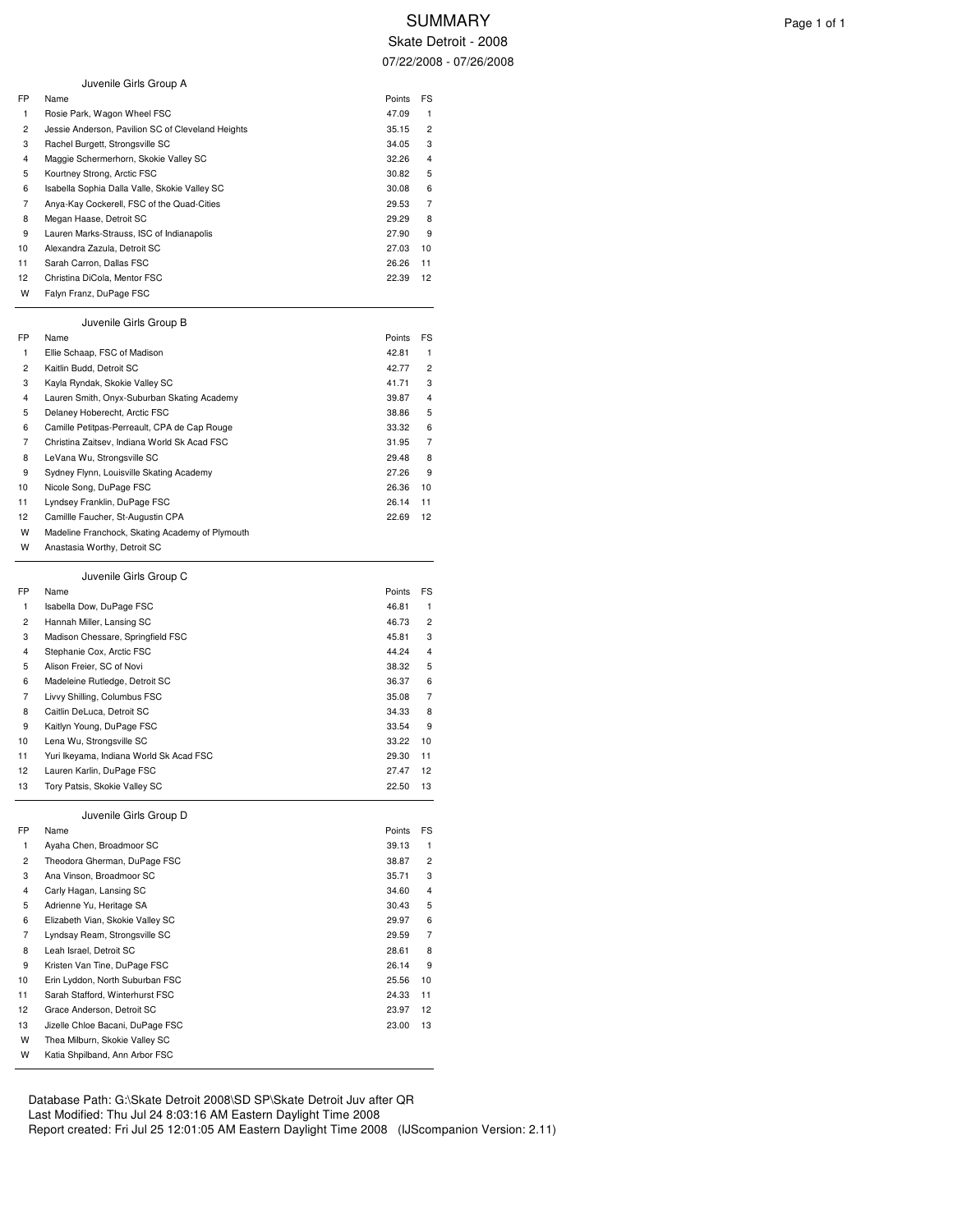Skate Detroit - 2008 07/22/2008 - 07/26/2008

|    | Juvenile Girls Group A                            |        |                |
|----|---------------------------------------------------|--------|----------------|
| FP | Name                                              | Points | FS             |
| 1  | Rosie Park, Wagon Wheel FSC                       | 47.09  | 1              |
| 2  | Jessie Anderson, Pavilion SC of Cleveland Heights | 35.15  | 2              |
| 3  | Rachel Burgett, Strongsville SC                   | 34.05  | 3              |
| 4  | Maggie Schermerhorn, Skokie Valley SC             | 32.26  | 4              |
| 5  | Kourtney Strong, Arctic FSC                       | 30.82  | 5              |
| 6  | Isabella Sophia Dalla Valle, Skokie Valley SC     | 30.08  | 6              |
| 7  | Anya-Kay Cockerell, FSC of the Quad-Cities        | 29.53  | 7              |
| 8  | Megan Haase, Detroit SC                           | 29.29  | 8              |
| 9  | Lauren Marks-Strauss, ISC of Indianapolis         | 27.90  | 9              |
| 10 | Alexandra Zazula, Detroit SC                      | 27.03  | 10             |
| 11 | Sarah Carron, Dallas FSC                          | 26.26  | 11             |
| 12 | Christina DiCola, Mentor FSC                      | 22.39  | 12             |
| w  | Falyn Franz, DuPage FSC                           |        |                |
|    | Juvenile Girls Group B                            |        |                |
| FP | Name                                              | Points | FS             |
| 1  | Ellie Schaap, FSC of Madison                      | 42.81  | 1              |
| 2  | Kaitlin Budd, Detroit SC                          | 42.77  | 2              |
| 3  | Kayla Ryndak, Skokie Valley SC                    | 41.71  | 3              |
| 4  | Lauren Smith, Onyx-Suburban Skating Academy       | 39.87  | 4              |
| 5  | Delaney Hoberecht, Arctic FSC                     | 38.86  | 5              |
| 6  | Camille Petitpas-Perreault, CPA de Cap Rouge      | 33.32  | 6              |
| 7  | Christina Zaitsev, Indiana World Sk Acad FSC      | 31.95  | 7              |
| 8  | LeVana Wu, Strongsville SC                        | 29.48  | 8              |
| 9  | Sydney Flynn, Louisville Skating Academy          | 27.26  | 9              |
| 10 | Nicole Song, DuPage FSC                           | 26.36  | 10             |
| 11 | Lyndsey Franklin, DuPage FSC                      | 26.14  | 11             |
| 12 | Camillle Faucher, St-Augustin CPA                 | 22.69  | 12             |
| W  | Madeline Franchock, Skating Academy of Plymouth   |        |                |
| W  | Anastasia Worthy, Detroit SC                      |        |                |
|    | Juvenile Girls Group C                            |        |                |
| FP | Name                                              | Points | FS             |
| 1  | Isabella Dow, DuPage FSC                          | 46.81  | 1              |
| 2  | Hannah Miller, Lansing SC                         | 46.73  | 2              |
| 3  | Madison Chessare, Springfield FSC                 | 45.81  | 3              |
| 4  | Stephanie Cox, Arctic FSC                         | 44.24  | 4              |
| 5  | Alison Freier, SC of Novi                         | 38.32  | 5              |
| 6  | Madeleine Rutledge, Detroit SC                    | 36.37  | 6              |
| 7  | Livvy Shilling, Columbus FSC                      | 35.08  | 7              |
| 8  | Caitlin DeLuca, Detroit SC                        | 34.33  | 8              |
| 9  | Kaitlyn Young, DuPage FSC                         | 33.54  | 9              |
| 10 | Lena Wu, Strongsville SC                          | 33.22  | 10             |
| 11 | Yuri Ikeyama, Indiana World Sk Acad FSC           | 29.30  | 11             |
| 12 | Lauren Karlin, DuPage FSC                         | 27.47  | 12             |
| 13 | Tory Patsis, Skokie Valley SC                     | 22.50  | 13             |
|    | Juvenile Girls Group D                            |        |                |
| FP | Name                                              | Points | FS             |
| 1  | Ayaha Chen, Broadmoor SC                          | 39.13  | 1              |
| 2  | Theodora Gherman, DuPage FSC                      | 38.87  | $\overline{2}$ |
| 3  | Ana Vinson, Broadmoor SC                          | 35.71  | 3              |
| 4  | Carly Hagan, Lansing SC                           | 34.60  | 4              |
| 5  | Adrienne Yu, Heritage SA                          | 30.43  | 5              |
| 6  |                                                   |        |                |
| 7  | Elizabeth Vian, Skokie Valley SC                  | 29.97  | 6              |
|    | Lyndsay Ream, Strongsville SC                     | 29.59  | 7              |
| 8  | Leah Israel, Detroit SC                           | 28.61  | 8              |
| 9  | Kristen Van Tine, DuPage FSC                      | 26.14  | 9              |
| 10 | Erin Lyddon, North Suburban FSC                   | 25.56  | 10             |
| 11 | Sarah Stafford, Winterhurst FSC                   | 24.33  | 11             |
| 12 | Grace Anderson, Detroit SC                        | 23.97  | 12             |
| 13 | Jizelle Chloe Bacani, DuPage FSC                  | 23.00  | 13             |

Database Path: G:\Skate Detroit 2008\SD SP\Skate Detroit Juv after QR Last Modified: Thu Jul 24 8:03:16 AM Eastern Daylight Time 2008 Report created: Fri Jul 25 12:01:05 AM Eastern Daylight Time 2008 (IJScompanion Version: 2.11)

W Katia Shpilband, Ann Arbor FSC

 $\overline{a}$ 

 $\overline{a}$ 

 $\overline{a}$